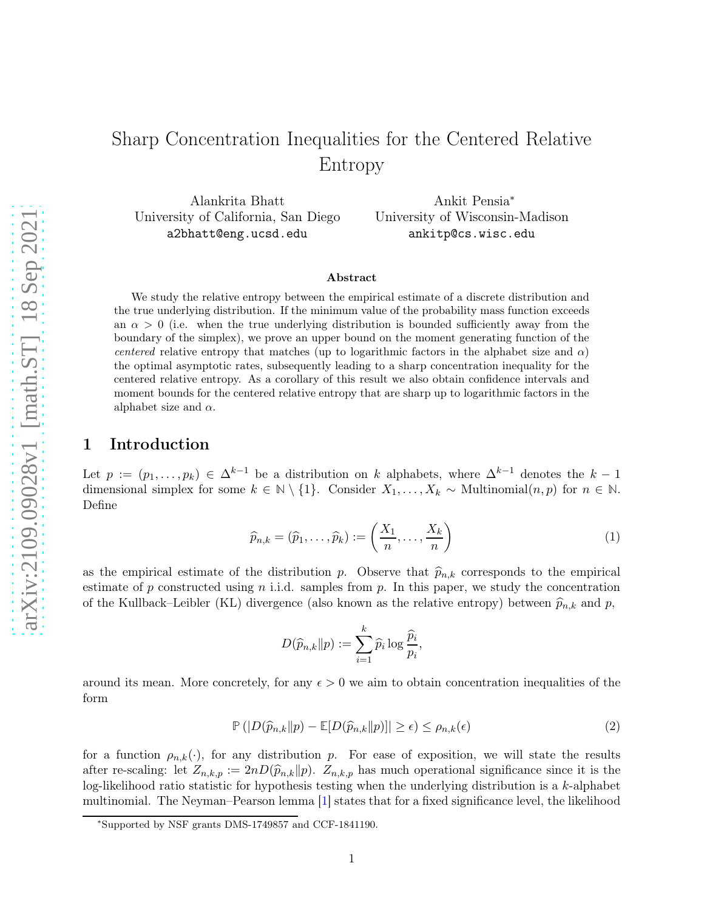Alankrita Bhatt University of California, San Diego a2bhatt@eng.ucsd.edu

Ankit Pensia<sup>∗</sup> University of Wisconsin-Madison ankitp@cs.wisc.edu

### Abstract

We study the relative entropy between the empirical estimate of a discrete distribution and the true underlying distribution. If the minimum value of the probability mass function exceeds an  $\alpha > 0$  (i.e. when the true underlying distribution is bounded sufficiently away from the boundary of the simplex), we prove an upper bound on the moment generating function of the centered relative entropy that matches (up to logarithmic factors in the alphabet size and  $\alpha$ ) the optimal asymptotic rates, subsequently leading to a sharp concentration inequality for the centered relative entropy. As a corollary of this result we also obtain confidence intervals and moment bounds for the centered relative entropy that are sharp up to logarithmic factors in the alphabet size and  $\alpha$ .

# 1 Introduction

Let  $p := (p_1, \ldots, p_k) \in \Delta^{k-1}$  be a distribution on k alphabets, where  $\Delta^{k-1}$  denotes the  $k-1$ dimensional simplex for some  $k \in \mathbb{N} \setminus \{1\}$ . Consider  $X_1, \ldots, X_k \sim \text{Multinomial}(n, p)$  for  $n \in \mathbb{N}$ . Define

$$
\widehat{p}_{n,k} = (\widehat{p}_1, \dots, \widehat{p}_k) := \left(\frac{X_1}{n}, \dots, \frac{X_k}{n}\right)
$$
\n(1)

as the empirical estimate of the distribution p. Observe that  $\hat{p}_{n,k}$  corresponds to the empirical estimate of p constructed using n i.i.d. samples from p. In this paper, we study the concentration of the Kullback–Leibler (KL) divergence (also known as the relative entropy) between  $\hat{p}_{n,k}$  and p,

<span id="page-0-0"></span>
$$
D(\widehat{p}_{n,k}||p) := \sum_{i=1}^{k} \widehat{p}_i \log \frac{\widehat{p}_i}{p_i},
$$

around its mean. More concretely, for any  $\epsilon > 0$  we aim to obtain concentration inequalities of the form

$$
\mathbb{P}\left(|D(\widehat{p}_{n,k}||p) - \mathbb{E}[D(\widehat{p}_{n,k}||p)]| \ge \epsilon\right) \le \rho_{n,k}(\epsilon)
$$
\n(2)

for a function  $\rho_{n,k}(\cdot)$ , for any distribution p. For ease of exposition, we will state the results after re-scaling: let  $Z_{n,k,p} := 2nD(\widehat{p}_{n,k}||p)$ .  $Z_{n,k,p}$  has much operational significance since it is the log-likelihood ratio statistic for hypothesis testing when the underlying distribution is a k-alphabet multinomial. The Neyman–Pearson lemma [\[1\]](#page-21-0) states that for a fixed significance level, the likelihood

<sup>∗</sup> Supported by NSF grants DMS-1749857 and CCF-1841190.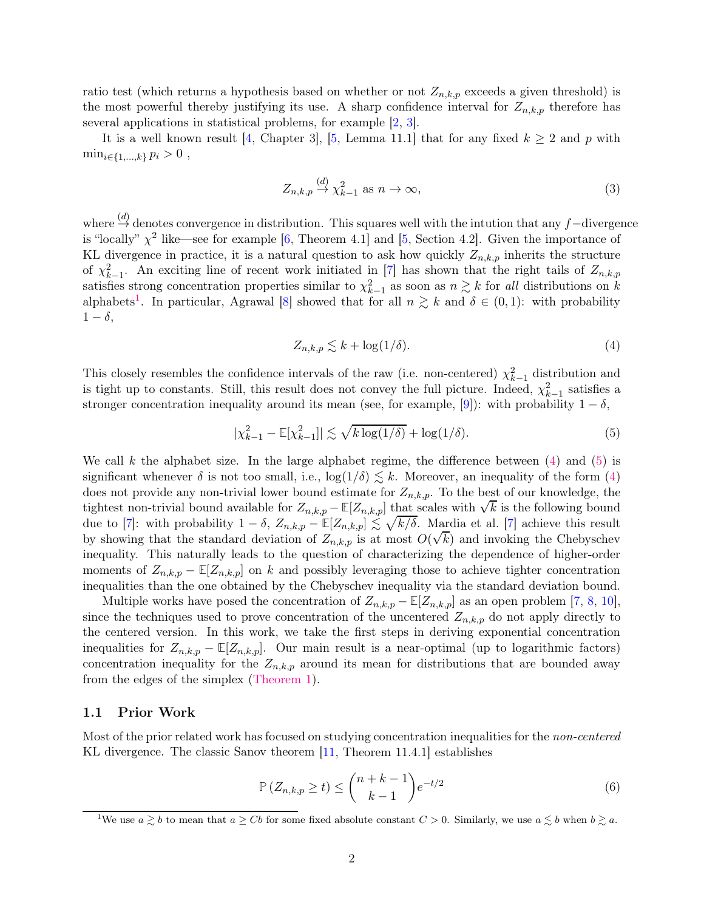ratio test (which returns a hypothesis based on whether or not  $Z_{n,k,p}$  exceeds a given threshold) is the most powerful thereby justifying its use. A sharp confidence interval for  $Z_{n,k,p}$  therefore has several applications in statistical problems, for example [\[2,](#page-21-1) [3\]](#page-21-2).

It is a well known result [\[4,](#page-21-3) Chapter 3], [\[5,](#page-21-4) Lemma 11.1] that for any fixed  $k \geq 2$  and p with  $\min_{i \in \{1,...,k\}} p_i > 0$ ,

<span id="page-1-4"></span>
$$
Z_{n,k,p} \stackrel{(d)}{\to} \chi^2_{k-1} \text{ as } n \to \infty,
$$
\n(3)

where  $\stackrel{(d)}{\rightarrow}$  denotes convergence in distribution. This squares well with the intution that any f−divergence is "locally"  $\chi^2$  like—see for example [\[6,](#page-21-5) Theorem 4.1] and [\[5,](#page-21-4) Section 4.2]. Given the importance of KL divergence in practice, it is a natural question to ask how quickly  $Z_{n,k,p}$  inherits the structure of  $\chi^2_{k-1}$ . An exciting line of recent work initiated in [\[7\]](#page-21-6) has shown that the right tails of  $Z_{n,k,p}$ satisfies strong concentration properties similar to  $\chi^2_{k-1}$  as soon as  $n \gtrsim k$  for all distributions on k alphabets<sup>[1](#page-1-0)</sup>. In particular, Agrawal [\[8\]](#page-21-7) showed that for all  $n \geq k$  and  $\delta \in (0,1)$ : with probability  $1 - \delta$ ,

<span id="page-1-2"></span><span id="page-1-1"></span>
$$
Z_{n,k,p} \lesssim k + \log(1/\delta). \tag{4}
$$

This closely resembles the confidence intervals of the raw (i.e. non-centered)  $\chi_{k-1}^2$  distribution and is tight up to constants. Still, this result does not convey the full picture. Indeed,  $\chi^2_{k-1}$  satisfies a stronger concentration inequality around its mean (see, for example, [[9](#page-22-0)]): with probability  $1 - \delta$ ,

$$
|\chi_{k-1}^2 - \mathbb{E}[\chi_{k-1}^2]| \lesssim \sqrt{k \log(1/\delta)} + \log(1/\delta). \tag{5}
$$

We call k the alphabet size. In the large alphabet regime, the difference between  $(4)$  and  $(5)$  is significant whenever  $\delta$  is not too small, i.e.,  $\log(1/\delta) \leq k$ . Moreover, an inequality of the form [\(4\)](#page-1-1) does not provide any non-trivial lower bound estimate for  $Z_{n,k,p}$ . To the best of our knowledge, the tightest non-trivial bound available for  $Z_{n,k,p} - \mathbb{E}[Z_{n,k,p}]$  that scales with  $\sqrt{k}$  is the following bound due to [\[7\]](#page-21-6): with probability  $1 - \delta$ ,  $Z_{n,k,p} - \mathbb{E}[Z_{n,k,p}] \lesssim \sqrt{k/\delta}$ . Mardia et al. [7] achieve this result by showing that the standard deviation of  $Z_{n,k,p}$  is at most  $O(\sqrt{k})$  and invoking the Chebyschev inequality. This naturally leads to the question of characterizing the dependence of higher-order moments of  $Z_{n,k,p} - \mathbb{E}[Z_{n,k,p}]$  on k and possibly leveraging those to achieve tighter concentration inequalities than the one obtained by the Chebyschev inequality via the standard deviation bound.

Multiple works have posed the concentration of  $Z_{n,k,p} - \mathbb{E}[Z_{n,k,p}]$  as an open problem [\[7,](#page-21-6) [8,](#page-21-7) [10\]](#page-22-1), since the techniques used to prove concentration of the uncentered  $Z_{n,k,p}$  do not apply directly to the centered version. In this work, we take the first steps in deriving exponential concentration inequalities for  $Z_{n,k,p} - \mathbb{E}[Z_{n,k,p}]$ . Our main result is a near-optimal (up to logarithmic factors) concentration inequality for the  $Z_{n,k,p}$  around its mean for distributions that are bounded away from the edges of the simplex [\(Theorem 1\)](#page-2-0).

#### 1.1 Prior Work

Most of the prior related work has focused on studying concentration inequalities for the non-centered KL divergence. The classic Sanov theorem [11, Theorem 11.4.1] establishes

<span id="page-1-3"></span>
$$
\mathbb{P}\left(Z_{n,k,p}\geq t\right)\leq \binom{n+k-1}{k-1}e^{-t/2}\tag{6}
$$

<span id="page-1-0"></span><sup>&</sup>lt;sup>1</sup>We use  $a \geq b$  to mean that  $a \geq Cb$  for some fixed absolute constant  $C > 0$ . Similarly, we use  $a \leq b$  when  $b \geq a$ .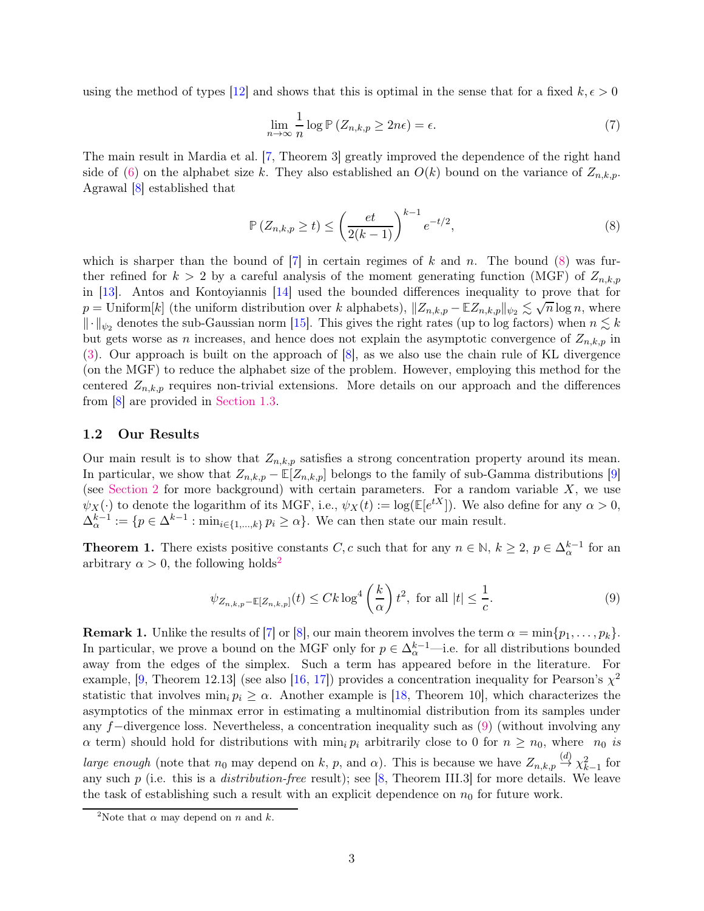using the method of types [\[12\]](#page-22-2) and shows that this is optimal in the sense that for a fixed  $k, \epsilon > 0$ 

<span id="page-2-1"></span>
$$
\lim_{n \to \infty} \frac{1}{n} \log \mathbb{P} \left( Z_{n,k,p} \ge 2n\epsilon \right) = \epsilon. \tag{7}
$$

The main result in Mardia et al. [\[7,](#page-21-6) Theorem 3] greatly improved the dependence of the right hand side of [\(6\)](#page-1-3) on the alphabet size k. They also established an  $O(k)$  bound on the variance of  $Z_{n,k,p}$ . Agrawal [\[8\]](#page-21-7) established that

$$
\mathbb{P}\left(Z_{n,k,p} \ge t\right) \le \left(\frac{et}{2(k-1)}\right)^{k-1} e^{-t/2},\tag{8}
$$

which is sharper than the bound of  $[7]$  in certain regimes of k and n. The bound [\(8\)](#page-2-1) was further refined for  $k > 2$  by a careful analysis of the moment generating function (MGF) of  $Z_{n,k,p}$ in [\[13\]](#page-22-3). Antos and Kontoyiannis [\[14\]](#page-22-4) used the bounded differences inequality to prove that for  $p =$  Uniform[k] (the uniform distribution over k alphabets),  $||Z_{n,k,p} - \mathbb{E} Z_{n,k,p}||_{\psi_2} \lesssim \sqrt{n} \log n$ , where  $\|\cdot\|_{\psi_2}$  denotes the sub-Gaussian norm [\[15\]](#page-22-5). This gives the right rates (up to log factors) when  $n \lesssim k$ but gets worse as *n* increases, and hence does not explain the asymptotic convergence of  $Z_{n,k,p}$  in [\(3\)](#page-1-4). Our approach is built on the approach of [\[8\]](#page-21-7), as we also use the chain rule of KL divergence (on the MGF) to reduce the alphabet size of the problem. However, employing this method for the centered  $Z_{n,k,p}$  requires non-trivial extensions. More details on our approach and the differences from [\[8\]](#page-21-7) are provided in [Section 1.3.](#page-3-0)

#### 1.2 Our Results

Our main result is to show that  $Z_{n,k,p}$  satisfies a strong concentration property around its mean. In particular, we show that  $Z_{n,k,p} - \mathbb{E}[Z_{n,k,p}]$  belongs to the family of sub-Gamma distributions [\[9\]](#page-22-0) (see [Section 2](#page-5-0) for more background) with certain parameters. For a random variable  $X$ , we use  $\psi_X(\cdot)$  to denote the logarithm of its MGF, i.e.,  $\psi_X(t) := \log(E[e^{tX}])$ . We also define for any  $\alpha > 0$ ,  $\Delta_{\alpha}^{k-1} := \{p \in \Delta^{k-1} : \min_{i \in \{1,\dots,k\}} p_i \ge \alpha\}.$  We can then state our main result.

<span id="page-2-0"></span>**Theorem 1.** There exists positive constants C, c such that for any  $n \in \mathbb{N}$ ,  $k \geq 2$ ,  $p \in \Delta_{\alpha}^{k-1}$  for an arbitrary  $\alpha > 0$ , the following holds<sup>[2](#page-2-2)</sup>

<span id="page-2-3"></span>
$$
\psi_{Z_{n,k,p}-\mathbb{E}[Z_{n,k,p}]}(t) \le Ck \log^4\left(\frac{k}{\alpha}\right)t^2, \text{ for all } |t| \le \frac{1}{c}.\tag{9}
$$

**Remark 1.** Unlike the results of [\[7\]](#page-21-6) or [\[8\]](#page-21-7), our main theorem involves the term  $\alpha = \min\{p_1, \ldots, p_k\}$ . In particular, we prove a bound on the MGF only for  $p \in \Delta_{\alpha}^{k-1}$ —i.e. for all distributions bounded away from the edges of the simplex. Such a term has appeared before in the literature. For example, [\[9,](#page-22-0) Theorem 12.13] (see also [\[16,](#page-22-6) [17\]](#page-22-7)) provides a concentration inequality for Pearson's  $\chi^2$ statistic that involves  $\min_i p_i \geq \alpha$ . Another example is [\[18,](#page-22-8) Theorem 10], which characterizes the asymptotics of the minmax error in estimating a multinomial distribution from its samples under any f−divergence loss. Nevertheless, a concentration inequality such as [\(9\)](#page-2-3) (without involving any  $\alpha$  term) should hold for distributions with  $\min_i p_i$  arbitrarily close to 0 for  $n \geq n_0$ , where  $n_0$  is *large enough* (note that  $n_0$  may depend on k, p, and  $\alpha$ ). This is because we have  $Z_{n,k,p} \stackrel{(d)}{\rightarrow} \chi_{k-1}^2$  for any such  $p$  (i.e. this is a *distribution-free* result); see [\[8,](#page-21-7) Theorem III.3] for more details. We leave the task of establishing such a result with an explicit dependence on  $n_0$  for future work.

<span id="page-2-2"></span><sup>&</sup>lt;sup>2</sup>Note that  $\alpha$  may depend on *n* and *k*.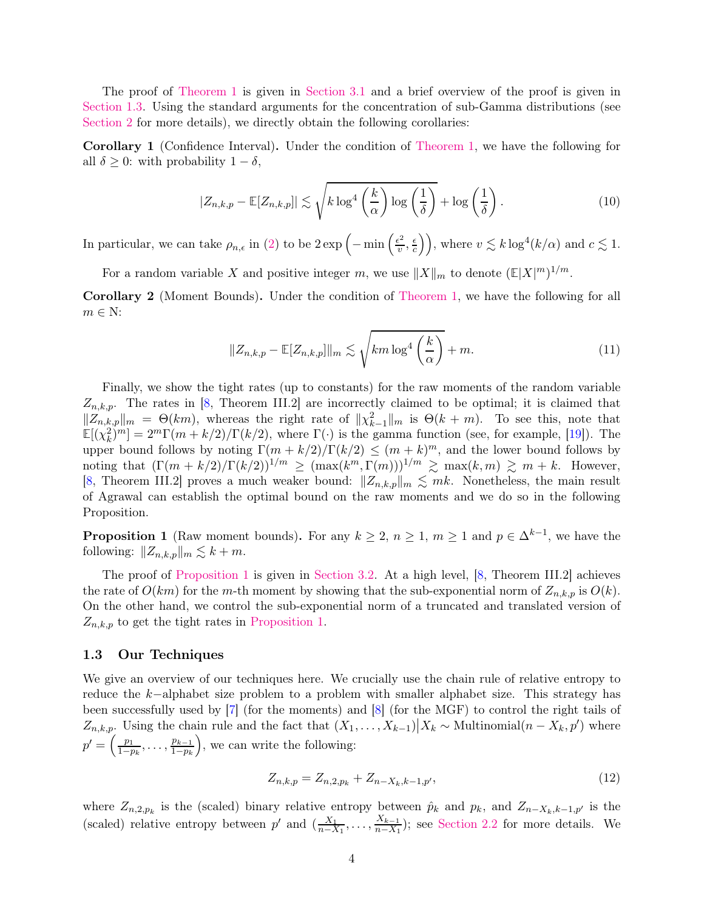The proof of [Theorem 1](#page-2-0) is given in [Section 3.1](#page-7-0) and a brief overview of the proof is given in [Section 1.3.](#page-3-0) Using the standard arguments for the concentration of sub-Gamma distributions (see [Section 2](#page-5-0) for more details), we directly obtain the following corollaries:

<span id="page-3-3"></span>Corollary 1 (Confidence Interval). Under the condition of [Theorem 1,](#page-2-0) we have the following for all  $\delta \geq 0$ : with probability  $1 - \delta$ ,

$$
|Z_{n,k,p} - \mathbb{E}[Z_{n,k,p}]| \lesssim \sqrt{k \log^4 \left(\frac{k}{\alpha}\right) \log \left(\frac{1}{\delta}\right)} + \log \left(\frac{1}{\delta}\right). \tag{10}
$$

In particular, we can take  $\rho_{n,\epsilon}$  in [\(2\)](#page-0-0) to be  $2 \exp \left(-\min\left(\frac{\epsilon^2}{v}\right)\right)$  $\frac{\epsilon^2}{v}, \frac{\epsilon}{c}$  $\left(\frac{\epsilon}{c}\right)$ , where  $v \lesssim k \log^4(k/\alpha)$  and  $c \lesssim 1$ .

<span id="page-3-4"></span>For a random variable X and positive integer m, we use  $||X||_m$  to denote  $(\mathbb{E}|X|^m)^{1/m}$ .

Corollary 2 (Moment Bounds). Under the condition of [Theorem 1,](#page-2-0) we have the following for all  $m \in N$ :

$$
||Z_{n,k,p} - \mathbb{E}[Z_{n,k,p}]||_{m} \lesssim \sqrt{km \log^{4}\left(\frac{k}{\alpha}\right)} + m.
$$
\n(11)

Finally, we show the tight rates (up to constants) for the raw moments of the random variable  $Z_{n,k,p}$ . The rates in [\[8,](#page-21-7) Theorem III.2] are incorrectly claimed to be optimal; it is claimed that  $||Z_{n,k,p}||_m = \Theta(km)$ , whereas the right rate of  $||\chi_{k-1}^2||_m$  is  $\Theta(k+m)$ . To see this, note that  $\mathbb{E}[(\chi_k^2)^m] = 2^m \Gamma(m + k/2)/\Gamma(k/2)$ , where  $\Gamma(\cdot)$  is the gamma function (see, for example, [\[19\]](#page-22-9)). The upper bound follows by noting  $\Gamma(m+k/2)/\Gamma(k/2) \leq (m+k)^m$ , and the lower bound follows by noting that  $(\Gamma(m+k/2)/\Gamma(k/2))^{1/m} \geq (\max(k^m,\Gamma(m)))^{1/m} \geq \max(k,m) \geq m+k$ . However, [\[8,](#page-21-7) Theorem III.2] proves a much weaker bound:  $||Z_{n,k,p}||_{m} \lesssim mk$ . Nonetheless, the main result of Agrawal can establish the optimal bound on the raw moments and we do so in the following Proposition.

<span id="page-3-1"></span>**Proposition 1** (Raw moment bounds). For any  $k \geq 2$ ,  $n \geq 1$ ,  $m \geq 1$  and  $p \in \Delta^{k-1}$ , we have the following:  $||Z_{n,k,n}||_m \leq k + m$ .

The proof of [Proposition 1](#page-3-1) is given in [Section 3.2.](#page-11-0) At a high level, [\[8,](#page-21-7) Theorem III.2] achieves the rate of  $O(km)$  for the m-th moment by showing that the sub-exponential norm of  $Z_{n,k,p}$  is  $O(k)$ . On the other hand, we control the sub-exponential norm of a truncated and translated version of  $Z_{n,k,p}$  to get the tight rates in [Proposition 1.](#page-3-1)

#### <span id="page-3-0"></span>1.3 Our Techniques

We give an overview of our techniques here. We crucially use the chain rule of relative entropy to reduce the k−alphabet size problem to a problem with smaller alphabet size. This strategy has been successfully used by [\[7\]](#page-21-6) (for the moments) and [\[8\]](#page-21-7) (for the MGF) to control the right tails of  $Z_{n,k,p}$ . Using the chain rule and the fact that  $(X_1, \ldots, X_{k-1}) \big| X_k \sim \text{Multinomial}(n - X_k, p')$  where  $p'=\left(\frac{p_1}{1-r}\right)$  $\frac{p_1}{1-p_k}, \ldots, \frac{p_{k-1}}{1-p_k}$  $1-p_k$ , we can write the following:

<span id="page-3-2"></span>
$$
Z_{n,k,p} = Z_{n,2,p_k} + Z_{n-X_k,k-1,p'},
$$
\n(12)

where  $Z_{n,2,p_k}$  is the (scaled) binary relative entropy between  $\hat{p}_k$  and  $p_k$ , and  $Z_{n-X_k,k-1,p'}$  is the (scaled) relative entropy between  $p'$  and  $\left(\frac{X_1}{n-X_1}\right)$  $\frac{X_1}{n-X_1}, \ldots, \frac{X_{k-1}}{n-X_1}$  $\frac{X_{k-1}}{n-X_1}$ ; see [Section 2.2](#page-6-0) for more details. We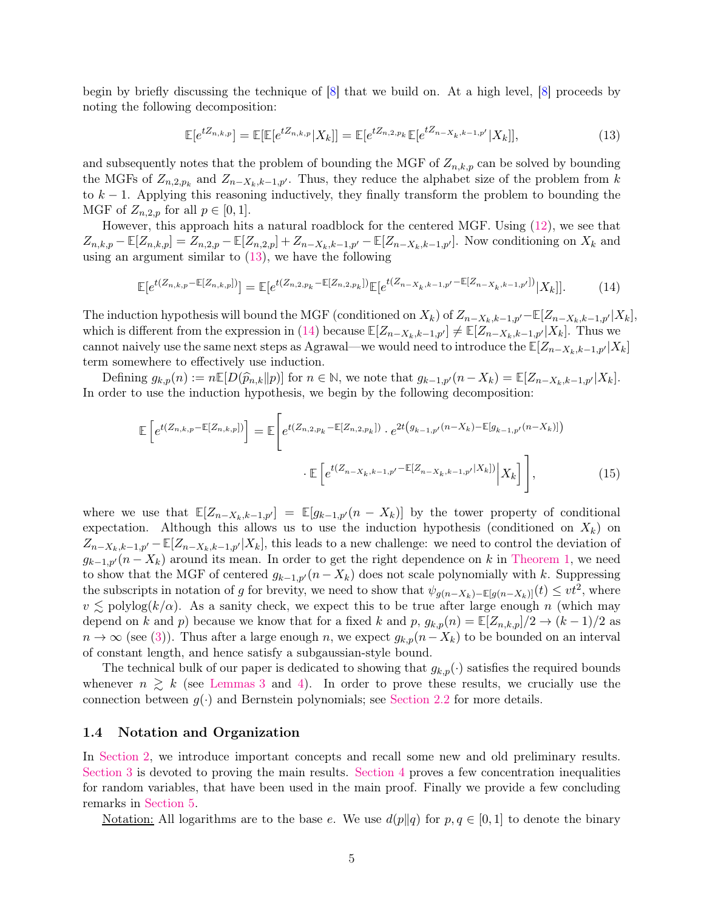begin by briefly discussing the technique of  $|8|$  that we build on. At a high level,  $|8|$  proceeds by noting the following decomposition:

<span id="page-4-1"></span><span id="page-4-0"></span>
$$
\mathbb{E}[e^{tZ_{n,k,p}}] = \mathbb{E}[\mathbb{E}[e^{tZ_{n,k,p}}|X_k]] = \mathbb{E}[e^{tZ_{n,2,p_k}}\mathbb{E}[e^{tZ_{n-X_k,k-1,p'}}|X_k]],
$$
\n(13)

and subsequently notes that the problem of bounding the MGF of  $Z_{n,k,p}$  can be solved by bounding the MGFs of  $Z_{n,2,p_k}$  and  $Z_{n-X_k,k-1,p'}$ . Thus, they reduce the alphabet size of the problem from k to  $k-1$ . Applying this reasoning inductively, they finally transform the problem to bounding the MGF of  $Z_{n,2,p}$  for all  $p \in [0,1]$ .

However, this approach hits a natural roadblock for the centered MGF. Using [\(12\)](#page-3-2), we see that  $Z_{n,k,p}$  – **E**[ $Z_{n,k,p}$ ] =  $Z_{n,2,p}$  – **E**[ $Z_{n,2,p}$ ] +  $Z_{n-X_k,k-1,p'}$  – **E**[ $Z_{n-X_k,k-1,p'}$ ]. Now conditioning on  $X_k$  and using an argument similar to [\(13\)](#page-4-0), we have the following

$$
\mathbb{E}[e^{t(Z_{n,k,p}-\mathbb{E}[Z_{n,k,p}])}]=\mathbb{E}[e^{t(Z_{n,2,p_k}-\mathbb{E}[Z_{n,2,p_k}])}\mathbb{E}[e^{t(Z_{n-X_k,k-1,p'}-\mathbb{E}[Z_{n-X_k,k-1,p'}])}|X_k]].
$$
 (14)

The induction hypothesis will bound the MGF (conditioned on  $X_k$ ) of  $Z_{n-X_k,k-1,p'}-\mathbb{E}[Z_{n-X_k,k-1,p'}|X_k],$ which is different from the expression in [\(14\)](#page-4-1) because  $\mathbb{E}[Z_{n-X_k,k-1,p'}] \neq \mathbb{E}[Z_{n-X_k,k-1,p'}|X_k]$ . Thus we cannot naively use the same next steps as Agrawal—we would need to introduce the  $\mathbb{E}[Z_{n-X_k,k-1,p'}|X_k]$ term somewhere to effectively use induction.

Defining  $g_{k,p}(n) := n \mathbb{E}[D(\widehat{p}_{n,k}||p)]$  for  $n \in \mathbb{N}$ , we note that  $g_{k-1,p'}(n-X_k) = \mathbb{E}[Z_{n-X_k,k-1,p'}|X_k].$ In order to use the induction hypothesis, we begin by the following decomposition:

$$
\mathbb{E}\left[e^{t(Z_{n,k,p}-\mathbb{E}[Z_{n,k,p}])}\right] = \mathbb{E}\left[e^{t(Z_{n,2,p_k}-\mathbb{E}[Z_{n,2,p_k}])}\cdot e^{2t(g_{k-1,p'}(n-X_k)-\mathbb{E}[g_{k-1,p'}(n-X_k)])}\right] \cdot \mathbb{E}\left[e^{t(Z_{n-X_k,k-1,p'}-\mathbb{E}[Z_{n-X_k,k-1,p'}|X_k])}\Big|X_k\right]\right],
$$
(15)

where we use that  $\mathbb{E}[Z_{n-X_k,k-1,p'}] = \mathbb{E}[g_{k-1,p'}(n-X_k)]$  by the tower property of conditional expectation. Although this allows us to use the induction hypothesis (conditioned on  $X_k$ ) on  $Z_{n-X_k,k-1,p'}$  –  $\mathbb{E}[Z_{n-X_k,k-1,p'}|X_k]$ , this leads to a new challenge: we need to control the deviation of  $g_{k-1,p'}(n-X_k)$  around its mean. In order to get the right dependence on k in [Theorem 1,](#page-2-0) we need to show that the MGF of centered  $g_{k-1,p'}(n - X_k)$  does not scale polynomially with k. Suppressing the subscripts in notation of g for brevity, we need to show that  $\psi_{g(n-X_k)-\mathbb{E}[g(n-X_k)]}(t) \leq vt^2$ , where  $v \lesssim \text{polylog}(k/\alpha)$ . As a sanity check, we expect this to be true after large enough n (which may depend on k and p) because we know that for a fixed k and p,  $g_{k,p}(n) = \mathbb{E}[Z_{n,k,p}]/2 \to (k-1)/2$  as  $n \to \infty$  (see [\(3\)](#page-1-4)). Thus after a large enough n, we expect  $g_{k,p}(n-X_k)$  to be bounded on an interval of constant length, and hence satisfy a subgaussian-style bound.

The technical bulk of our paper is dedicated to showing that  $g_{k,p}(\cdot)$  satisfies the required bounds whenever  $n \geq k$  (see [Lemmas 3](#page-9-0) and [4\)](#page-10-0). In order to prove these results, we crucially use the connection between  $q(\cdot)$  and Bernstein polynomials; see [Section 2.2](#page-6-0) for more details.

#### 1.4 Notation and Organization

In [Section 2,](#page-5-0) we introduce important concepts and recall some new and old preliminary results. [Section 3](#page-7-1) is devoted to proving the main results. [Section 4](#page-11-1) proves a few concentration inequalities for random variables, that have been used in the main proof. Finally we provide a few concluding remarks in [Section 5.](#page-16-0)

Notation: All logarithms are to the base e. We use  $d(p||q)$  for  $p, q \in [0, 1]$  to denote the binary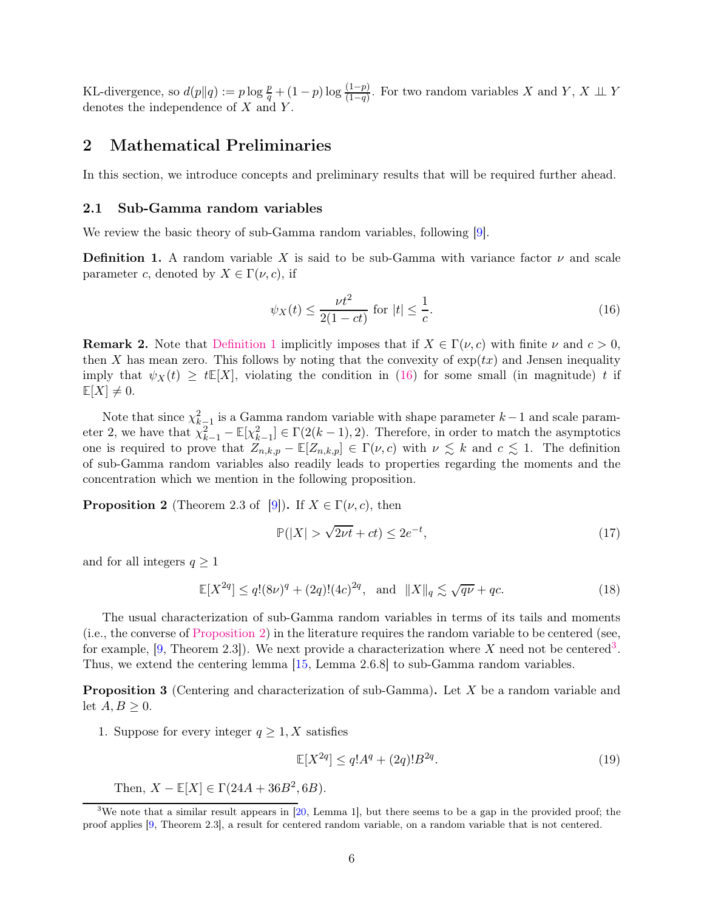KL-divergence, so  $d(p||q) := p \log \frac{p}{q} + (1-p) \log \frac{(1-p)}{(1-q)}$ . For two random variables X and Y, X  $\perp \perp$  Y denotes the independence of  $X$  and  $Y$ .

# <span id="page-5-0"></span>2 Mathematical Preliminaries

In this section, we introduce concepts and preliminary results that will be required further ahead.

### 2.1 Sub-Gamma random variables

<span id="page-5-1"></span>We review the basic theory of sub-Gamma random variables, following [\[9\]](#page-22-0).

**Definition 1.** A random variable X is said to be sub-Gamma with variance factor  $\nu$  and scale parameter c, denoted by  $X \in \Gamma(\nu, c)$ , if

<span id="page-5-2"></span>
$$
\psi_X(t) \le \frac{\nu t^2}{2(1 - ct)} \text{ for } |t| \le \frac{1}{c}.\tag{16}
$$

**Remark 2.** Note that [Definition 1](#page-5-1) implicitly imposes that if  $X \in \Gamma(\nu, c)$  with finite  $\nu$  and  $c > 0$ , then X has mean zero. This follows by noting that the convexity of  $\exp(tx)$  and Jensen inequality imply that  $\psi_X(t) \geq tE[X]$ , violating the condition in [\(16\)](#page-5-2) for some small (in magnitude) t if  $\mathbb{E}[X] \neq 0.$ 

Note that since  $\chi^2_{k-1}$  is a Gamma random variable with shape parameter  $k-1$  and scale parameter 2, we have that  $\chi^2_{k-1} - \mathbb{E}[\chi^2_{k-1}] \in \Gamma(2(k-1), 2)$ . Therefore, in order to match the asymptotics one is required to prove that  $Z_{n,k,p} - \mathbb{E}[Z_{n,k,p}] \in \Gamma(\nu, c)$  with  $\nu \leq k$  and  $c \leq 1$ . The definition of sub-Gamma random variables also readily leads to properties regarding the moments and the concentration which we mention in the following proposition.

<span id="page-5-3"></span>**Proposition 2** (Theorem 2.3 of [\[9\]](#page-22-0)). If  $X \in \Gamma(\nu, c)$ , then

$$
\mathbb{P}(|X| > \sqrt{2\nu t} + ct) \le 2e^{-t},\tag{17}
$$

and for all integers  $q \geq 1$ 

$$
\mathbb{E}[X^{2q}] \le q!(8\nu)^q + (2q)!(4c)^{2q}, \text{ and } ||X||_q \lesssim \sqrt{q\nu} + qc. \tag{18}
$$

The usual characterization of sub-Gamma random variables in terms of its tails and moments (i.e., the converse of [Proposition 2\)](#page-5-3) in the literature requires the random variable to be centered (see, for example, [\[9,](#page-22-0) Theorem 2.[3](#page-5-4)]). We next provide a characterization where X need not be centered<sup>3</sup>. Thus, we extend the centering lemma [\[15,](#page-22-5) Lemma 2.6.8] to sub-Gamma random variables.

<span id="page-5-5"></span>Proposition 3 (Centering and characterization of sub-Gamma). Let X be a random variable and let  $A, B \geq 0$ .

1. Suppose for every integer  $q \geq 1, X$  satisfies

<span id="page-5-6"></span>
$$
\mathbb{E}[X^{2q}] \le q!A^q + (2q)!B^{2q}.\tag{19}
$$

Then,  $X - \mathbb{E}[X] \in \Gamma(24A + 36B^2, 6B)$ .

<span id="page-5-4"></span><sup>&</sup>lt;sup>3</sup>We note that a similar result appears in  $[20, \text{Lemma 1}]$ , but there seems to be a gap in the provided proof; the proof applies [\[9,](#page-22-0) Theorem 2.3], a result for centered random variable, on a random variable that is not centered.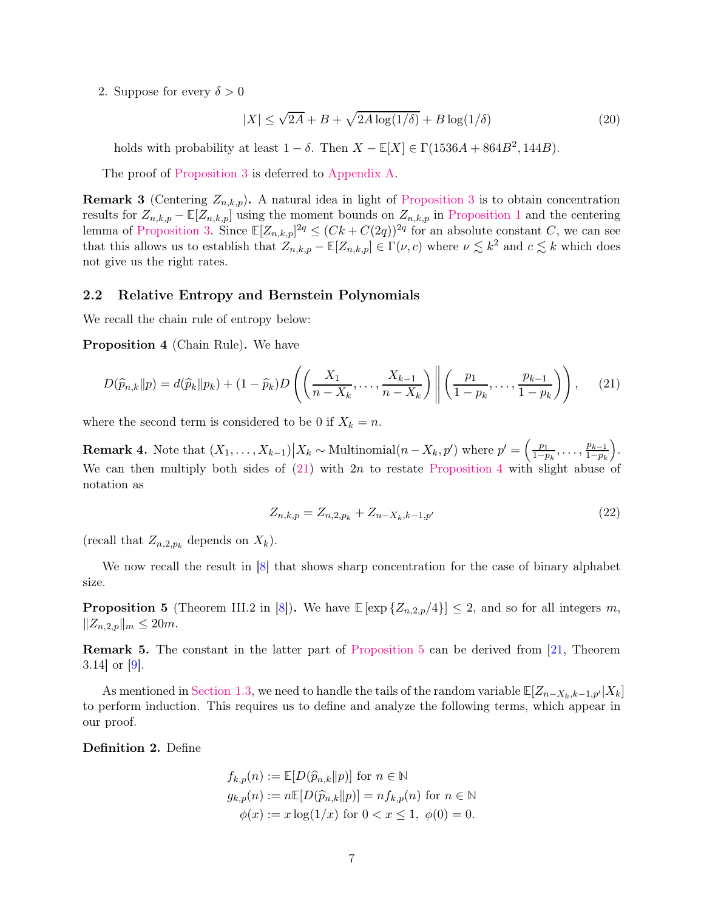2. Suppose for every  $\delta > 0$ 

<span id="page-6-5"></span>
$$
|X| \le \sqrt{2A} + B + \sqrt{2A \log(1/\delta)} + B \log(1/\delta)
$$
\n(20)

holds with probability at least  $1 - \delta$ . Then  $X - \mathbb{E}[X] \in \Gamma(1536A + 864B^2, 144B)$ .

The proof of [Proposition 3](#page-5-5) is deferred to [Appendix A.](#page-16-1)

**Remark 3** (Centering  $Z_{n,k,p}$ ). A natural idea in light of [Proposition 3](#page-5-5) is to obtain concentration results for  $Z_{n,k,p} - \mathbb{E}[Z_{n,k,p}]$  using the moment bounds on  $Z_{n,k,p}$  in [Proposition 1](#page-3-1) and the centering lemma of [Proposition 3.](#page-5-5) Since  $\mathbb{E}[Z_{n,k,p}]^{2q} \leq (Ck+C(2q))^{2q}$  for an absolute constant C, we can see that this allows us to establish that  $Z_{n,k,p} - \mathbb{E}[Z_{n,k,p}] \in \Gamma(\nu, c)$  where  $\nu \lesssim k^2$  and  $c \lesssim k$  which does not give us the right rates.

#### <span id="page-6-0"></span>2.2 Relative Entropy and Bernstein Polynomials

<span id="page-6-2"></span>We recall the chain rule of entropy below:

Proposition 4 (Chain Rule). We have

$$
D(\widehat{p}_{n,k}||p) = d(\widehat{p}_k||p_k) + (1 - \widehat{p}_k)D\left(\left(\frac{X_1}{n - X_k}, \dots, \frac{X_{k-1}}{n - X_k}\right) \middle\| \left(\frac{p_1}{1 - p_k}, \dots, \frac{p_{k-1}}{1 - p_k}\right)\right),\tag{21}
$$

where the second term is considered to be 0 if  $X_k = n$ .

**Remark 4.** Note that  $(X_1, \ldots, X_{k-1}) \big| X_k \sim \text{Multinomial}(n - X_k, p')$  where  $p' = \left(\frac{p_1}{1-p}\right)$  $\frac{p_1}{1-p_k}, \ldots, \frac{p_{k-1}}{1-p_k}$  $1-p_k$  . We can then multiply both sides of  $(21)$  with  $2n$  to restate [Proposition 4](#page-6-2) with slight abuse of notation as

<span id="page-6-1"></span>
$$
Z_{n,k,p} = Z_{n,2,p_k} + Z_{n-X_k,k-1,p'}
$$
\n(22)

(recall that  $Z_{n,2,p_k}$  depends on  $X_k$ ).

<span id="page-6-3"></span>We now recall the result in  $[8]$  that shows sharp concentration for the case of binary alphabet size.

**Proposition 5** (Theorem III.2 in [\[8\]](#page-21-7)). We have  $\mathbb{E}[\exp{\{Z_{n,2,p}/4\}}] \leq 2$ , and so for all integers m,  $||Z_{n,2,p}||_m \leq 20m$ .

Remark 5. The constant in the latter part of [Proposition 5](#page-6-3) can be derived from [\[21,](#page-22-11) Theorem 3.14 or  $|9|$ .

As mentioned in [Section 1.3,](#page-3-0) we need to handle the tails of the random variable  $\mathbb{E}[Z_{n-X_k,k-1,p'}|X_k]$ to perform induction. This requires us to define and analyze the following terms, which appear in our proof.

<span id="page-6-4"></span>Definition 2. Define

$$
f_{k,p}(n) := \mathbb{E}[D(\widehat{p}_{n,k}||p)] \text{ for } n \in \mathbb{N}
$$
  
\n
$$
g_{k,p}(n) := n\mathbb{E}[D(\widehat{p}_{n,k}||p)] = nf_{k,p}(n) \text{ for } n \in \mathbb{N}
$$
  
\n
$$
\phi(x) := x \log(1/x) \text{ for } 0 < x \le 1, \ \phi(0) = 0.
$$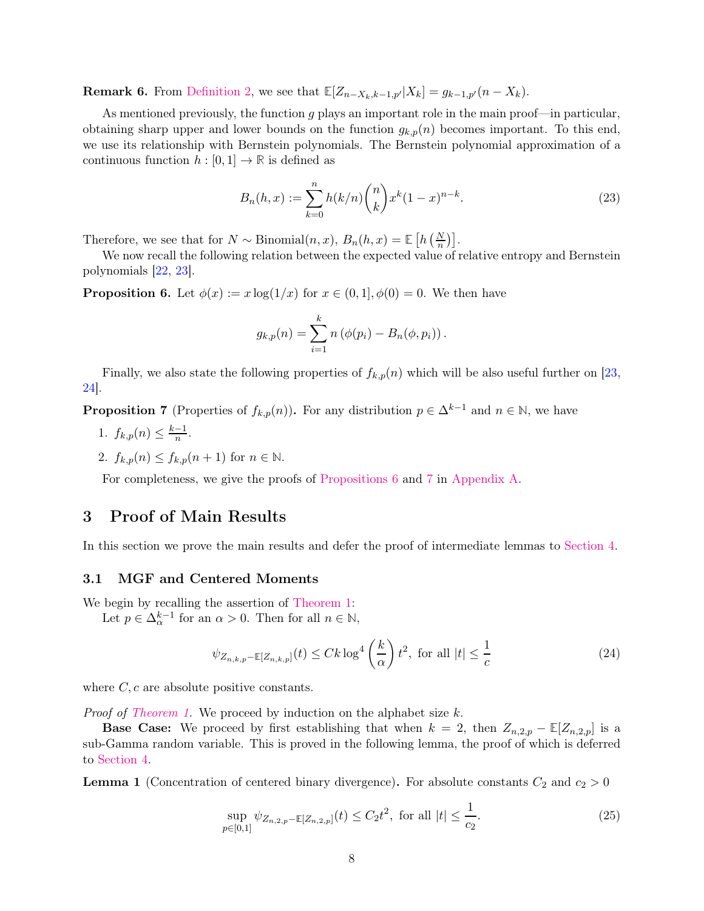**Remark 6.** From [Definition 2,](#page-6-4) we see that  $\mathbb{E}[Z_{n-X_k,k-1,p'}|X_k] = g_{k-1,p'}(n-X_k)$ .

As mentioned previously, the function  $g$  plays an important role in the main proof—in particular, obtaining sharp upper and lower bounds on the function  $g_{k,p}(n)$  becomes important. To this end, we use its relationship with Bernstein polynomials. The Bernstein polynomial approximation of a continuous function  $h : [0, 1] \to \mathbb{R}$  is defined as

$$
B_n(h, x) := \sum_{k=0}^n h(k/n) \binom{n}{k} x^k (1-x)^{n-k}.
$$
 (23)

Therefore, we see that for  $N \sim \text{Binomial}(n, x)$ ,  $B_n(h, x) = \mathbb{E}\left[h\left(\frac{N}{n}\right)\right]$ .

<span id="page-7-2"></span>We now recall the following relation between the expected value of relative entropy and Bernstein polynomials [\[22,](#page-22-12) [23\]](#page-22-13).

**Proposition 6.** Let  $\phi(x) := x \log(1/x)$  for  $x \in (0,1], \phi(0) = 0$ . We then have

$$
g_{k,p}(n) = \sum_{i=1}^{k} n (\phi(p_i) - B_n(\phi, p_i)).
$$

<span id="page-7-3"></span>Finally, we also state the following properties of  $f_{k,p}(n)$  which will be also useful further on [\[23,](#page-22-13) [24\]](#page-22-14).

**Proposition 7** (Properties of  $f_{k,p}(n)$ ). For any distribution  $p \in \Delta^{k-1}$  and  $n \in \mathbb{N}$ , we have

- 1.  $f_{k,p}(n) \leq \frac{k-1}{n}$ .
- 2.  $f_{k,p}(n) \le f_{k,p}(n+1)$  for  $n \in \mathbb{N}$ .

For completeness, we give the proofs of [Propositions 6](#page-7-2) and [7](#page-7-3) in [Appendix A.](#page-16-1)

# <span id="page-7-1"></span>3 Proof of Main Results

<span id="page-7-0"></span>In this section we prove the main results and defer the proof of intermediate lemmas to [Section 4.](#page-11-1)

### 3.1 MGF and Centered Moments

We begin by recalling the assertion of [Theorem 1:](#page-2-0)

Let  $p \in \Delta_{\alpha}^{k-1}$  for an  $\alpha > 0$ . Then for all  $n \in \mathbb{N}$ ,

<span id="page-7-5"></span>
$$
\psi_{Z_{n,k,p}-\mathbb{E}[Z_{n,k,p}]}(t) \le Ck \log^4\left(\frac{k}{\alpha}\right)t^2, \text{ for all } |t| \le \frac{1}{c} \tag{24}
$$

where  $C, c$  are absolute positive constants.

*Proof of [Theorem 1.](#page-2-0)* We proceed by induction on the alphabet size  $k$ .

**Base Case:** We proceed by first establishing that when  $k = 2$ , then  $Z_{n,2,p} - \mathbb{E}[Z_{n,2,p}]$  is a sub-Gamma random variable. This is proved in the following lemma, the proof of which is deferred to [Section 4.](#page-11-1)

<span id="page-7-4"></span>**Lemma 1** (Concentration of centered binary divergence). For absolute constants  $C_2$  and  $c_2 > 0$ 

$$
\sup_{p \in [0,1]} \psi_{Z_{n,2,p} - \mathbb{E}[Z_{n,2,p}]}(t) \le C_2 t^2, \text{ for all } |t| \le \frac{1}{c_2}.
$$
\n(25)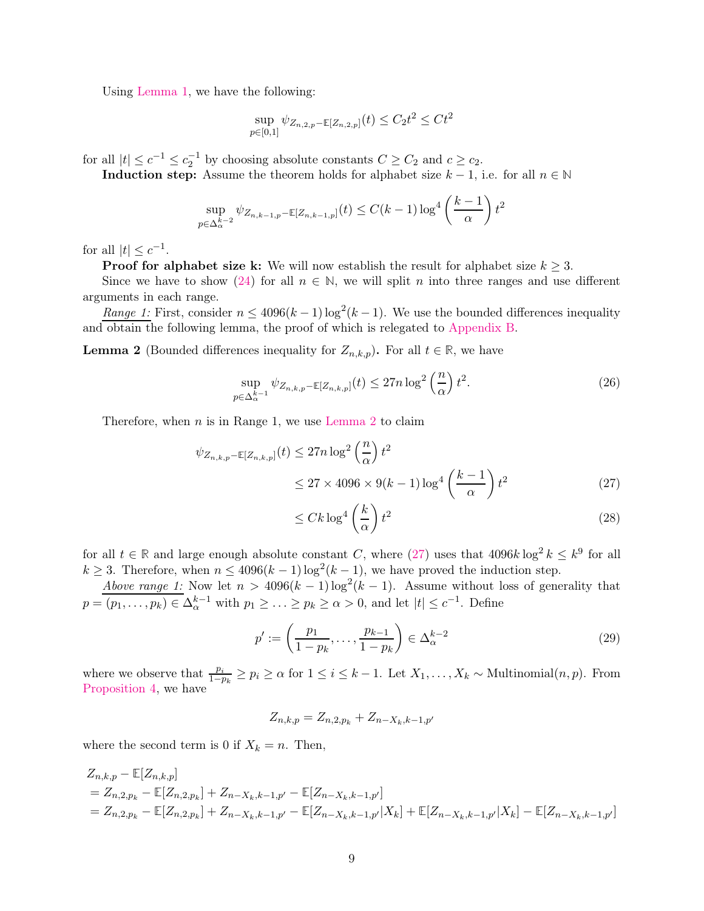Using [Lemma 1,](#page-7-4) we have the following:

$$
\sup_{p \in [0,1]} \psi_{Z_{n,2,p} - \mathbb{E}[Z_{n,2,p}]}(t) \le C_2 t^2 \le C t^2
$$

for all  $|t| \leq c^{-1} \leq c_2^{-1}$  by choosing absolute constants  $C \geq C_2$  and  $c \geq c_2$ .

**Induction step:** Assume the theorem holds for alphabet size  $k - 1$ , i.e. for all  $n \in \mathbb{N}$ 

$$
\sup_{p \in \Delta_{\alpha}^{k-2}} \psi_{Z_{n,k-1,p}-\mathbb{E}[Z_{n,k-1,p}]}(t) \le C(k-1) \log^4 \left(\frac{k-1}{\alpha}\right) t^2
$$

for all  $|t| \leq c^{-1}$ .

**Proof for alphabet size k:** We will now establish the result for alphabet size  $k \geq 3$ .

Since we have to show [\(24\)](#page-7-5) for all  $n \in \mathbb{N}$ , we will split n into three ranges and use different arguments in each range.

<span id="page-8-0"></span>Range 1: First, consider  $n \leq 4096(k-1)\log^2(k-1)$ . We use the bounded differences inequality and obtain the following lemma, the proof of which is relegated to [Appendix B.](#page-18-0)

**Lemma 2** (Bounded differences inequality for  $Z_{n,k,p}$ ). For all  $t \in \mathbb{R}$ , we have

$$
\sup_{p \in \Delta_{\alpha}^{k-1}} \psi_{Z_{n,k,p} - \mathbb{E}[Z_{n,k,p}]}(t) \le 27n \log^2\left(\frac{n}{\alpha}\right) t^2.
$$
\n(26)

Therefore, when  $n$  is in Range 1, we use [Lemma 2](#page-8-0) to claim

$$
\psi_{Z_{n,k,p}-\mathbb{E}[Z_{n,k,p}]}(t) \le 27n \log^2\left(\frac{n}{\alpha}\right) t^2
$$
  

$$
\le 27 \times 4096 \times 9(k-1) \log^4\left(\frac{k-1}{\alpha}\right) t^2
$$
 (27)

<span id="page-8-1"></span>
$$
\leq Ck \log^4\left(\frac{k}{\alpha}\right)t^2\tag{28}
$$

for all  $t \in \mathbb{R}$  and large enough absolute constant C, where [\(27\)](#page-8-1) uses that  $4096k \log^2 k \leq k^9$  for all  $k \geq 3$ . Therefore, when  $n \leq 4096(k-1)\log^2(k-1)$ , we have proved the induction step.

Above range 1: Now let  $n > 4096(k-1)\log^2(k-1)$ . Assume without loss of generality that  $p = (p_1, \ldots, p_k) \in \Delta_\alpha^{k-1}$  with  $p_1 \geq \ldots \geq p_k \geq \alpha > 0$ , and let  $|t| \leq c^{-1}$ . Define

$$
p' := \left(\frac{p_1}{1 - p_k}, \dots, \frac{p_{k-1}}{1 - p_k}\right) \in \Delta_\alpha^{k-2}
$$
\n
$$
(29)
$$

where we observe that  $\frac{p_i}{1-p_k} \geq p_i \geq \alpha$  for  $1 \leq i \leq k-1$ . Let  $X_1, \ldots, X_k \sim \text{Multinomial}(n, p)$ . From [Proposition 4,](#page-6-2) we have

$$
Z_{n,k,p} = Z_{n,2,p_k} + Z_{n-X_k,k-1,p'}
$$

where the second term is 0 if  $X_k = n$ . Then,

$$
Z_{n,k,p} - \mathbb{E}[Z_{n,k,p}]
$$
  
=  $Z_{n,2,p_k} - \mathbb{E}[Z_{n,2,p_k}] + Z_{n-X_k,k-1,p'} - \mathbb{E}[Z_{n-X_k,k-1,p'}]$   
=  $Z_{n,2,p_k} - \mathbb{E}[Z_{n,2,p_k}] + Z_{n-X_k,k-1,p'} - \mathbb{E}[Z_{n-X_k,k-1,p'}|X_k] + \mathbb{E}[Z_{n-X_k,k-1,p'}|X_k] - \mathbb{E}[Z_{n-X_k,k-1,p'}]$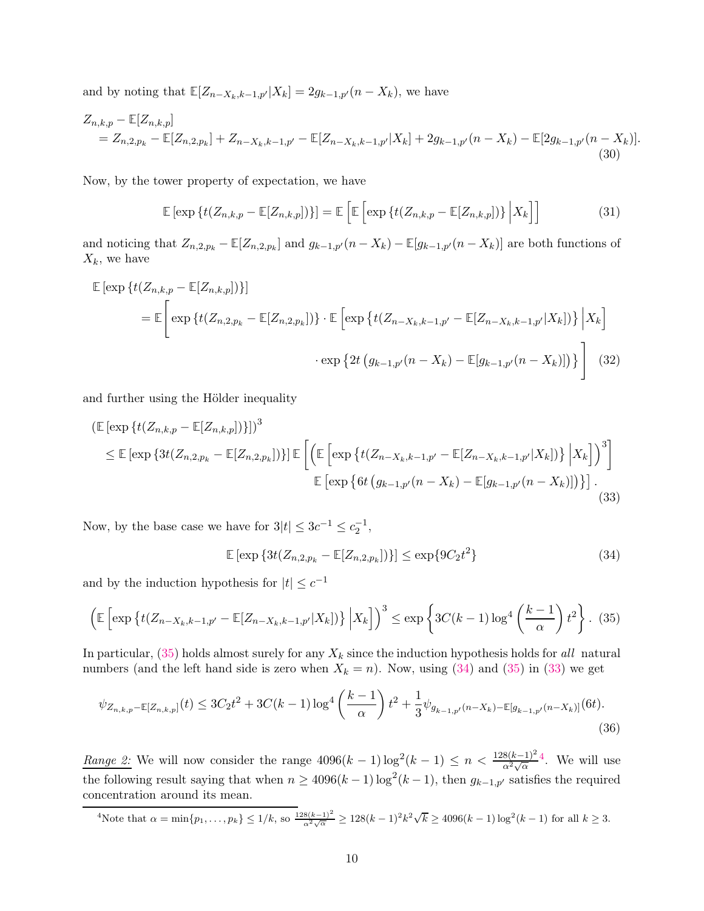and by noting that  $\mathbb{E}[Z_{n-X_k,k-1,p'}|X_k] = 2g_{k-1,p'}(n-X_k)$ , we have

$$
Z_{n,k,p} - \mathbb{E}[Z_{n,k,p}]
$$
  
=  $Z_{n,2,p_k} - \mathbb{E}[Z_{n,2,p_k}] + Z_{n-X_k,k-1,p'} - \mathbb{E}[Z_{n-X_k,k-1,p'}|X_k] + 2g_{k-1,p'}(n-X_k) - \mathbb{E}[2g_{k-1,p'}(n-X_k)].$   
(30)

Now, by the tower property of expectation, we have

$$
\mathbb{E}\left[\exp\left\{t(Z_{n,k,p}-\mathbb{E}[Z_{n,k,p}])\right\}\right]=\mathbb{E}\left[\mathbb{E}\left[\exp\left\{t(Z_{n,k,p}-\mathbb{E}[Z_{n,k,p}])\right\}\Big|X_k\right]\right]
$$
(31)

and noticing that  $Z_{n,2,p_k} - \mathbb{E}[Z_{n,2,p_k}]$  and  $g_{k-1,p'}(n-X_k) - \mathbb{E}[g_{k-1,p'}(n-X_k)]$  are both functions of  $X_k$ , we have

$$
\mathbb{E} \left[ \exp \left\{ t (Z_{n,k,p} - \mathbb{E}[Z_{n,k,p}]) \right\} \right]
$$
\n
$$
= \mathbb{E} \left[ \exp \left\{ t (Z_{n,2,p_k} - \mathbb{E}[Z_{n,2,p_k}]) \right\} \cdot \mathbb{E} \left[ \exp \left\{ t (Z_{n-X_k,k-1,p'} - \mathbb{E}[Z_{n-X_k,k-1,p'}|X_k]) \right\} \Big| X_k \right]
$$
\n
$$
\cdot \exp \left\{ 2t \left( g_{k-1,p'}(n - X_k) - \mathbb{E}[g_{k-1,p'}(n - X_k)] \right) \right\} \right] \tag{32}
$$

and further using the Hölder inequality

$$
\begin{split} \left( \mathbb{E} \left[ \exp \left\{ t (Z_{n,k,p} - \mathbb{E} [Z_{n,k,p}]) \right\} \right] \right)^3 \\ &\leq \mathbb{E} \left[ \exp \left\{ 3t (Z_{n,2,p_k} - \mathbb{E} [Z_{n,2,p_k}]) \right\} \right] \mathbb{E} \left[ \left( \mathbb{E} \left[ \exp \left\{ t (Z_{n-X_k,k-1,p'} - \mathbb{E} [Z_{n-X_k,k-1,p'} | X_k]) \right\} \Big| X_k \right] \right)^3 \right] \\ &\qquad \mathbb{E} \left[ \exp \left\{ 6t \left( g_{k-1,p'} (n-X_k) - \mathbb{E} [g_{k-1,p'} (n-X_k)] \right) \right\} \right]. \end{split} \tag{33}
$$

Now, by the base case we have for  $3|t| \leq 3c^{-1} \leq c_2^{-1}$ ,

<span id="page-9-5"></span><span id="page-9-3"></span><span id="page-9-2"></span><span id="page-9-1"></span>
$$
\mathbb{E}\left[\exp\left\{3t(Z_{n,2,p_k}-\mathbb{E}[Z_{n,2,p_k}])\right\}\right] \leq \exp\{9C_2t^2\}\tag{34}
$$

and by the induction hypothesis for  $|t| \leq c^{-1}$ 

$$
\left(\mathbb{E}\left[\exp\left\{t(Z_{n-X_k,k-1,p'}-\mathbb{E}[Z_{n-X_k,k-1,p'}|X_k])\right\}\Big|X_k\right]\right)^3 \leq \exp\left\{3C(k-1)\log^4\left(\frac{k-1}{\alpha}\right)t^2\right\}.\tag{35}
$$

In particular,  $(35)$  holds almost surely for any  $X_k$  since the induction hypothesis holds for all natural numbers (and the left hand side is zero when  $X_k = n$ ). Now, using [\(34\)](#page-9-2) and [\(35\)](#page-9-1) in [\(33\)](#page-9-3) we get

$$
\psi_{Z_{n,k,p}-\mathbb{E}[Z_{n,k,p}]}(t) \le 3C_2t^2 + 3C(k-1)\log^4\left(\frac{k-1}{\alpha}\right)t^2 + \frac{1}{3}\psi_{g_{k-1,p'}(n-X_k)-\mathbb{E}[g_{k-1,p'}(n-X_k)]}(6t).
$$
\n(36)

*Range 2:* We will now consider the range  $4096(k-1)\log^2(k-1) \leq n < \frac{128(k-1)^2}{\alpha^2\sqrt{\alpha}}$ [4](#page-9-4) . We will use the following result saying that when  $n \geq 4096(k-1)\log^2(k-1)$ , then  $g_{k-1,p'}$  satisfies the required concentration around its mean.

<span id="page-9-4"></span><span id="page-9-0"></span>
$$
{}^{4}\text{Note that }\alpha = \min\{p_1, \ldots, p_k\} \le 1/k, \text{ so } \frac{128(k-1)^2}{\alpha^2 \sqrt{\alpha}} \ge 128(k-1)^2 k^2 \sqrt{k} \ge 4096(k-1)\log^2(k-1) \text{ for all } k \ge 3.
$$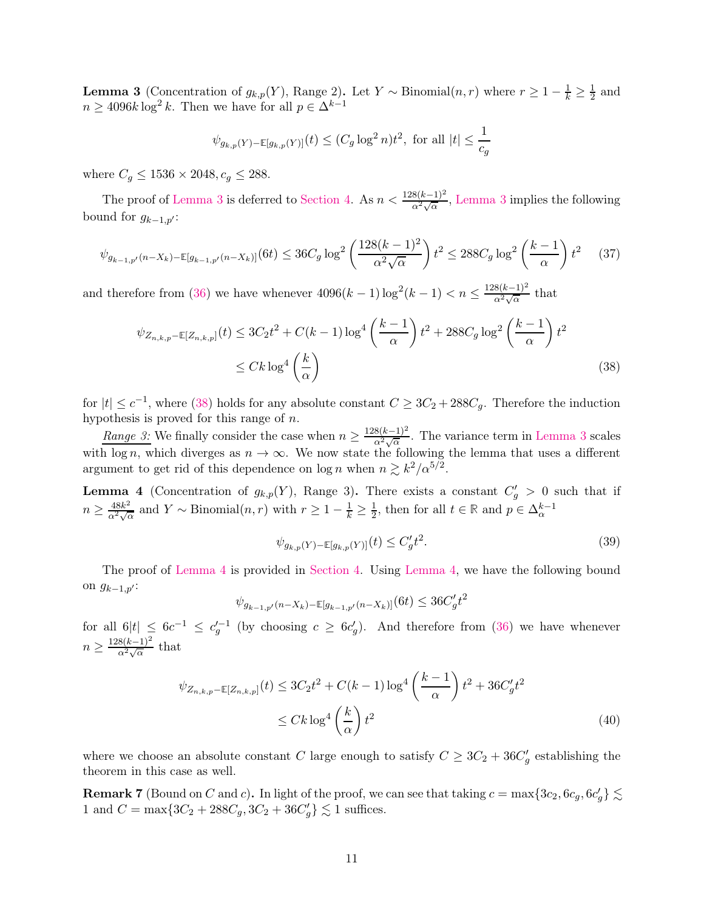**Lemma 3** (Concentration of  $g_{k,p}(Y)$ , Range 2). Let Y ~ Binomial $(n, r)$  where  $r \geq 1 - \frac{1}{k} \geq \frac{1}{2}$  and  $n \geq 4096k \log^2 k$ . Then we have for all  $p \in \Delta^{k-1}$ 

$$
\psi_{g_{k,p}(Y)-\mathbb{E}[g_{k,p}(Y)]}(t) \le (C_g \log^2 n)t^2
$$
, for all  $|t| \le \frac{1}{c_g}$ 

where  $C_g \le 1536 \times 2048, c_g \le 288$ .

The proof of [Lemma 3](#page-9-0) is deferred to [Section 4.](#page-11-1) As  $n < \frac{128(k-1)^2}{\alpha^2 \sqrt{\alpha}}$ , Lemma 3 implies the following bound for  $g_{k-1,p'}$ :

$$
\psi_{g_{k-1,p'}(n-X_k) - \mathbb{E}[g_{k-1,p'}(n-X_k)]}(6t) \le 36C_g \log^2\left(\frac{128(k-1)^2}{\alpha^2 \sqrt{\alpha}}\right)t^2 \le 288C_g \log^2\left(\frac{k-1}{\alpha}\right)t^2 \tag{37}
$$

and therefore from [\(36\)](#page-9-5) we have whenever  $4096(k-1)\log^2(k-1) < n \leq \frac{128(k-1)^2}{\alpha^2\sqrt{\alpha}}$  that

$$
\psi_{Z_{n,k,p}-\mathbb{E}[Z_{n,k,p}]}(t) \le 3C_2t^2 + C(k-1)\log^4\left(\frac{k-1}{\alpha}\right)t^2 + 288C_g\log^2\left(\frac{k-1}{\alpha}\right)t^2
$$
  

$$
\le Ck\log^4\left(\frac{k}{\alpha}\right)
$$
 (38)

for  $|t| \leq c^{-1}$ , where [\(38\)](#page-10-1) holds for any absolute constant  $C \geq 3C_2 + 288C_g$ . Therefore the induction hypothesis is proved for this range of n.

*Range 3:* We finally consider the case when  $n \ge \frac{128(k-1)^2}{\alpha^2 \sqrt{\alpha}}$ . The variance term in [Lemma 3](#page-9-0) scales with log n, which diverges as  $n \to \infty$ . We now state the following the lemma that uses a different argument to get rid of this dependence on  $\log n$  when  $n \gtrsim k^2/\alpha^{5/2}$ .

<span id="page-10-0"></span>**Lemma 4** (Concentration of  $g_{k,p}(Y)$ , Range 3). There exists a constant  $C'_g > 0$  such that if  $n \ge \frac{48k^2}{\alpha^2 \sqrt{\alpha}}$  and  $Y \sim \text{Binomial}(n, r)$  with  $r \ge 1 - \frac{1}{k} \ge \frac{1}{2}$ , then for all  $t \in \mathbb{R}$  and  $p \in \Delta_{\alpha}^{k-1}$ 

<span id="page-10-1"></span>
$$
\psi_{g_{k,p}(Y) - \mathbb{E}[g_{k,p}(Y)]}(t) \le C_g' t^2.
$$
\n(39)

The proof of [Lemma 4](#page-10-0) is provided in [Section 4.](#page-11-1) Using [Lemma 4,](#page-10-0) we have the following bound on  $g_{k-1,p'}$ :

$$
\psi_{g_{k-1,p'}(n-X_k) - \mathbb{E}[g_{k-1,p'}(n-X_k)]}(6t) \le 36C_g't^2
$$

for all  $6|t| \leq 6c^{-1} \leq c_g'^{-1}$  (by choosing  $c \geq 6c_g'$ ). And therefore from [\(36\)](#page-9-5) we have whenever  $n \geq \frac{128(k-1)^2}{\alpha^2 \sqrt{\alpha}}$  that

$$
\psi_{Z_{n,k,p} - \mathbb{E}[Z_{n,k,p}]}(t) \le 3C_2 t^2 + C(k-1)\log^4\left(\frac{k-1}{\alpha}\right)t^2 + 36C_g't^2
$$
  

$$
\le Ck \log^4\left(\frac{k}{\alpha}\right)t^2
$$
 (40)

where we choose an absolute constant C large enough to satisfy  $C \geq 3C_2 + 36C'_{g}$  establishing the theorem in this case as well.

**Remark 7** (Bound on C and c). In light of the proof, we can see that taking  $c = \max\{3c_2, 6c_g, 6c'_g\} \lesssim$ 1 and  $C = \max\{3C_2 + 288C_g, 3C_2 + 36C'_g\} \lesssim 1$  suffices.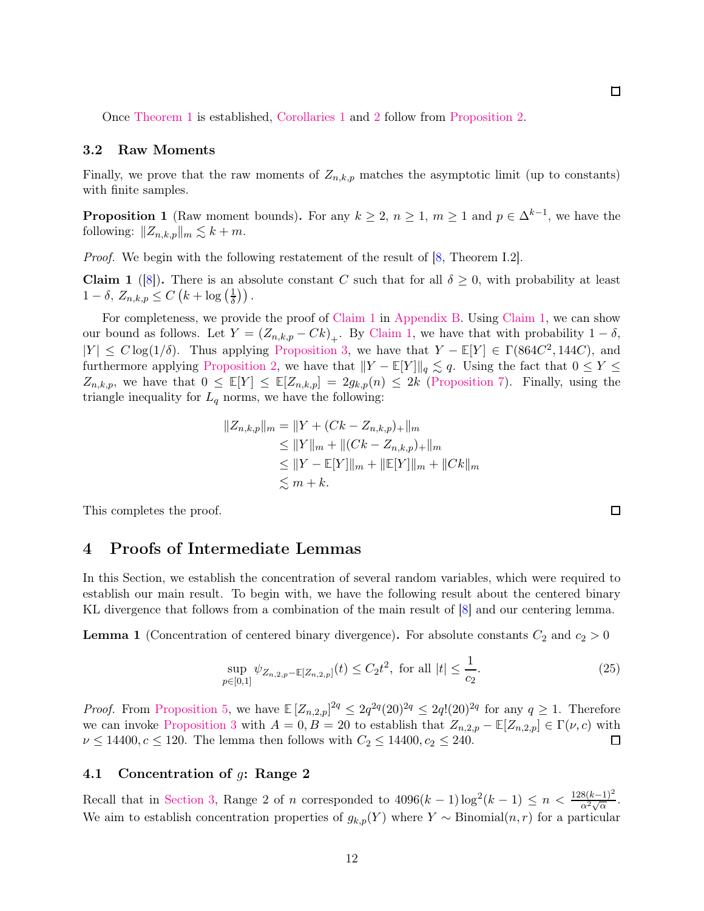Once [Theorem 1](#page-2-0) is established, [Corollaries 1](#page-3-3) and [2](#page-3-4) follow from [Proposition 2.](#page-5-3)

### <span id="page-11-0"></span>3.2 Raw Moments

Finally, we prove that the raw moments of  $Z_{n,k,p}$  matches the asymptotic limit (up to constants) with finite samples.

**Proposition 1** (Raw moment bounds). For any  $k \geq 2$ ,  $n \geq 1$ ,  $m \geq 1$  and  $p \in \Delta^{k-1}$ , we have the following:  $||Z_{n,k,p}||_m \lesssim k + m$ .

<span id="page-11-2"></span>Proof. We begin with the following restatement of the result of [\[8,](#page-21-7) Theorem I.2].

**Claim 1** ([\[8\]](#page-21-7)). There is an absolute constant C such that for all  $\delta \geq 0$ , with probability at least  $1-\delta$ ,  $Z_{n,k,p} \leq C\left(k+\log\left(\frac{1}{\delta}\right)\right)$  $\frac{1}{\delta})$ ).

For completeness, we provide the proof of [Claim 1](#page-11-2) in [Appendix B.](#page-18-0) Using [Claim 1,](#page-11-2) we can show our bound as follows. Let  $Y = (Z_{n,k,p} - Ck)_+$ . By [Claim 1,](#page-11-2) we have that with probability  $1 - \delta$ ,  $|Y|$  ≤  $C \log(1/\delta)$ . Thus applying [Proposition 3,](#page-5-5) we have that  $Y - \mathbb{E}[Y] \in \Gamma(864C^2, 144C)$ , and furthermore applying [Proposition 2,](#page-5-3) we have that  $||Y - \mathbb{E}[Y]||_q \lesssim q$ . Using the fact that  $0 \leq Y \leq$  $Z_{n,k,p}$ , we have that  $0 \leq \mathbb{E}[Y] \leq \mathbb{E}[Z_{n,k,p}] = 2g_{k,p}(n) \leq 2k$  [\(Proposition 7\)](#page-7-3). Finally, using the triangle inequality for  $L_q$  norms, we have the following:

$$
||Z_{n,k,p}||_m = ||Y + (Ck - Z_{n,k,p})_+||_m
$$
  
\n
$$
\leq ||Y||_m + ||(Ck - Z_{n,k,p})_+||_m
$$
  
\n
$$
\leq ||Y - \mathbb{E}[Y]||_m + ||\mathbb{E}[Y]||_m + ||Ck||_m
$$
  
\n
$$
\lesssim m + k.
$$

<span id="page-11-1"></span>This completes the proof.

## 4 Proofs of Intermediate Lemmas

In this Section, we establish the concentration of several random variables, which were required to establish our main result. To begin with, we have the following result about the centered binary KL divergence that follows from a combination of the main result of [\[8\]](#page-21-7) and our centering lemma.

**Lemma 1** (Concentration of centered binary divergence). For absolute constants  $C_2$  and  $c_2 > 0$ 

$$
\sup_{p \in [0,1]} \psi_{Z_{n,2,p} - \mathbb{E}[Z_{n,2,p}]}(t) \le C_2 t^2, \text{ for all } |t| \le \frac{1}{c_2}.
$$
\n(25)

*Proof.* From [Proposition 5,](#page-6-3) we have  $\mathbb{E}[Z_{n,2,p}]^{2q} \leq 2q^{2q}(20)^{2q} \leq 2q!(20)^{2q}$  for any  $q \geq 1$ . Therefore we can invoke [Proposition 3](#page-5-5) with  $A = 0, B = 20$  to establish that  $Z_{n,2,p} - \mathbb{E}[Z_{n,2,p}] \in \Gamma(\nu, c)$  with  $\nu \le 14400, c \le 120$ . The lemma then follows with  $C_2 \le 14400, c_2 \le 240$ .  $\nu \le 14400, c \le 120$ . The lemma then follows with  $C_2 \le 14400, c_2 \le 240$ .

### 4.1 Concentration of g: Range 2

Recall that in [Section 3,](#page-7-1) Range 2 of n corresponded to  $4096(k-1)\log^2(k-1) \le n < \frac{128(k-1)^2}{\alpha^2\sqrt{\alpha}}$ . We aim to establish concentration properties of  $g_{k,p}(Y)$  where Y ~ Binomial $(n,r)$  for a particular

 $\Box$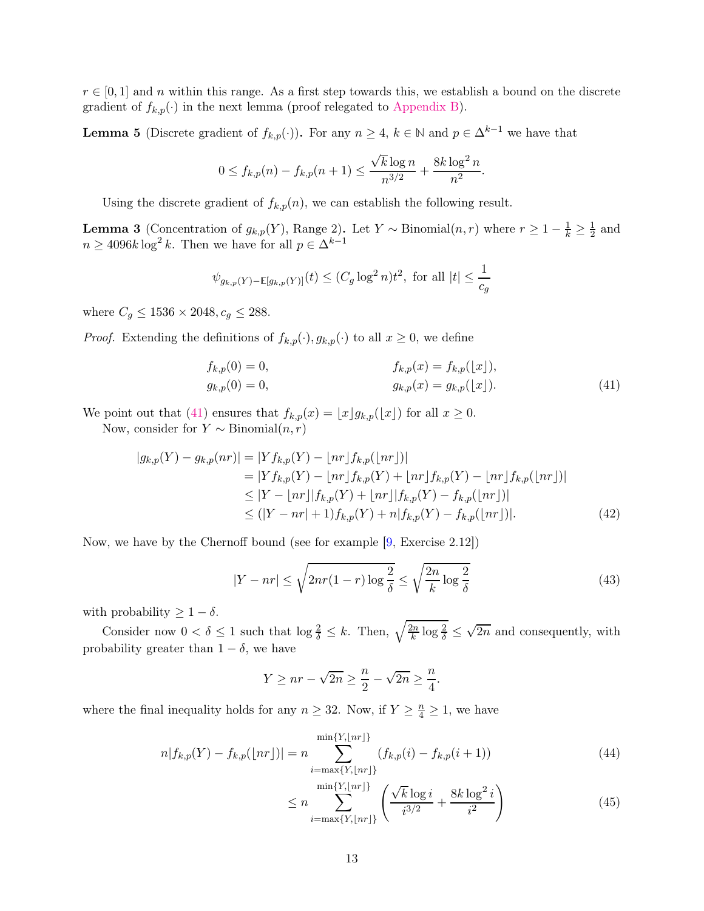<span id="page-12-3"></span> $r \in [0,1]$  and n within this range. As a first step towards this, we establish a bound on the discrete gradient of  $f_{k,p}(\cdot)$  in the next lemma (proof relegated to [Appendix B\)](#page-18-0).

**Lemma 5** (Discrete gradient of  $f_{k,p}(\cdot)$ ). For any  $n \geq 4$ ,  $k \in \mathbb{N}$  and  $p \in \Delta^{k-1}$  we have that

$$
0 \le f_{k,p}(n) - f_{k,p}(n+1) \le \frac{\sqrt{k} \log n}{n^{3/2}} + \frac{8k \log^2 n}{n^2}.
$$

Using the discrete gradient of  $f_{k,p}(n)$ , we can establish the following result.

**Lemma 3** (Concentration of  $g_{k,p}(Y)$ , Range 2). Let Y ~ Binomial $(n,r)$  where  $r \geq 1 - \frac{1}{k} \geq \frac{1}{2}$  $\frac{1}{2}$  and  $n \geq 4096k \log^2 k$ . Then we have for all  $p \in \Delta^{k-1}$ 

$$
\psi_{g_{k,p}(Y)-\mathbb{E}[g_{k,p}(Y)]}(t) \le (C_g \log^2 n)t^2
$$
, for all  $|t| \le \frac{1}{c_g}$ 

where  $C_g \le 1536 \times 2048, c_g \le 288$ .

*Proof.* Extending the definitions of  $f_{k,p}(\cdot), g_{k,p}(\cdot)$  to all  $x \geq 0$ , we define

<span id="page-12-0"></span>
$$
f_{k,p}(0) = 0,
$$
  
\n
$$
g_{k,p}(0) = 0,
$$
  
\n
$$
f_{k,p}(x) = f_{k,p}(\lfloor x \rfloor),
$$
  
\n
$$
g_{k,p}(x) = g_{k,p}(\lfloor x \rfloor).
$$
\n(41)

We point out that [\(41\)](#page-12-0) ensures that  $f_{k,p}(x) = \lfloor x \rfloor g_{k,p}(\lfloor x \rfloor)$  for all  $x \ge 0$ .

Now, consider for  $Y \sim \text{Binomial}(n, r)$ 

$$
|g_{k,p}(Y) - g_{k,p}(nr)| = |Yf_{k,p}(Y) - \lfloor nr \rfloor f_{k,p}(\lfloor nr \rfloor)|
$$
  
\n
$$
= |Yf_{k,p}(Y) - \lfloor nr \rfloor f_{k,p}(Y) + \lfloor nr \rfloor f_{k,p}(Y) - \lfloor nr \rfloor f_{k,p}(\lfloor nr \rfloor)|
$$
  
\n
$$
\leq |Y - \lfloor nr \rfloor |f_{k,p}(Y) + \lfloor nr \rfloor |f_{k,p}(Y) - f_{k,p}(\lfloor nr \rfloor)|
$$
  
\n
$$
\leq (|Y - nr| + 1)f_{k,p}(Y) + n|f_{k,p}(Y) - f_{k,p}(\lfloor nr \rfloor)|.
$$
 (42)

Now, we have by the Chernoff bound (see for example [\[9,](#page-22-0) Exercise 2.12])

<span id="page-12-4"></span>
$$
|Y - nr| \le \sqrt{2nr(1 - r)\log\frac{2}{\delta}} \le \sqrt{\frac{2n}{k}\log\frac{2}{\delta}}\tag{43}
$$

with probability  $\geq 1 - \delta$ .

Consider now  $0 < \delta \leq 1$  such that  $\log \frac{2}{\delta} \leq k$ . Then,  $\sqrt{\frac{2n}{k}}$  $\frac{2n}{k} \log \frac{2}{\delta} \leq$  $\sqrt{2n}$  and consequently, with probability greater than  $1 - \delta$ , we have

$$
Y \ge nr - \sqrt{2n} \ge \frac{n}{2} - \sqrt{2n} \ge \frac{n}{4}.
$$

where the final inequality holds for any  $n \geq 32$ . Now, if  $Y \geq \frac{n}{4} \geq 1$ , we have

$$
n|f_{k,p}(Y) - f_{k,p}(\lfloor nr \rfloor)| = n \sum_{i=\max\{Y, \lfloor nr \rfloor\}}^{\min\{Y, \lfloor nr \rfloor\}} (f_{k,p}(i) - f_{k,p}(i+1))
$$
\n(44)

<span id="page-12-2"></span><span id="page-12-1"></span>
$$
\leq n \sum_{i=\max\{Y, \lfloor nr \rfloor\}}^{\min\{Y, \lfloor nr \rfloor\}} \left( \frac{\sqrt{k} \log i}{i^{3/2}} + \frac{8k \log^2 i}{i^2} \right) \tag{45}
$$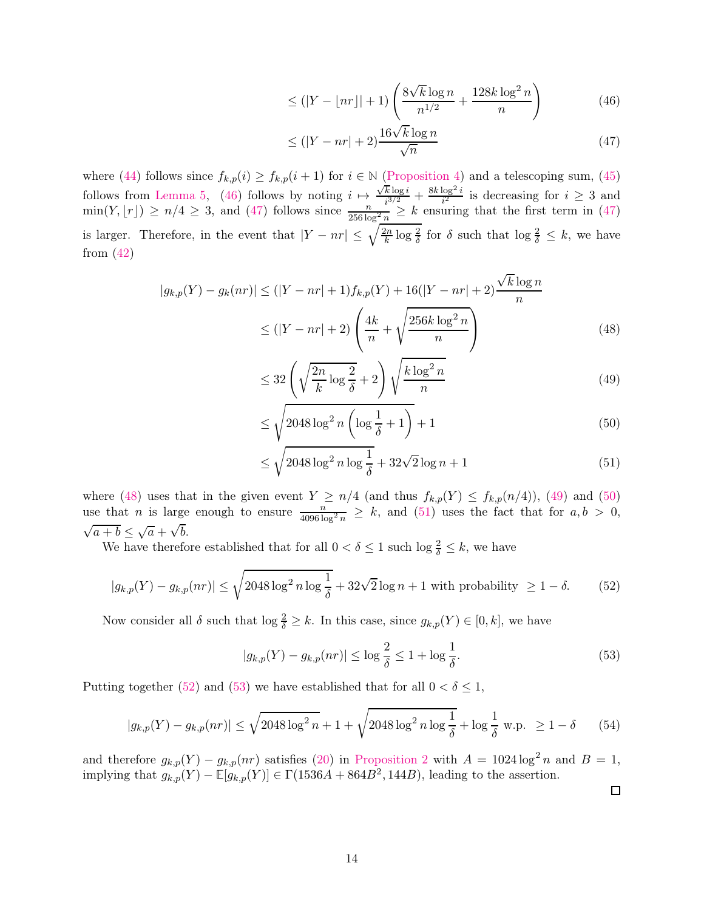<span id="page-13-0"></span>
$$
\leq (|Y - \lfloor nr \rfloor| + 1) \left( \frac{8\sqrt{k} \log n}{n^{1/2}} + \frac{128k \log^2 n}{n} \right) \tag{46}
$$

<span id="page-13-1"></span>
$$
\leq (|Y - nr| + 2) \frac{16\sqrt{k} \log n}{\sqrt{n}} \tag{47}
$$

where [\(44\)](#page-12-1) follows since  $f_{k,p}(i) \geq f_{k,p}(i+1)$  for  $i \in \mathbb{N}$  [\(Proposition 4\)](#page-6-2) and a telescoping sum, [\(45\)](#page-12-2) follows from [Lemma 5,](#page-12-3) [\(46\)](#page-13-0) follows by noting  $i \mapsto \frac{\sqrt{k} \log i}{i^{3/2}}$  $\frac{\overline{k} \log i}{i^{3/2}} + \frac{8k \log^2 i}{i^2}$  $\frac{\log^{-i}}{i^2}$  is decreasing for  $i \geq 3$  and  $\min(Y, \lfloor r \rfloor) \ge n/4 \ge 3$ , and [\(47\)](#page-13-1) follows since  $\frac{n}{256 \log^2 n} \ge k$  ensuring that the first term in (47) is larger. Therefore, in the event that  $|Y - nr| \leq \sqrt{\frac{2n}{k}}$  $\frac{2n}{k} \log \frac{2}{\delta}$  for  $\delta$  such that  $\log \frac{2}{\delta} \leq k$ , we have from  $(42)$ 

$$
|g_{k,p}(Y) - g_k(nr)| \le (|Y - nr| + 1)f_{k,p}(Y) + 16(|Y - nr| + 2)\frac{\sqrt{k}\log n}{n}
$$
  
 
$$
\le (|Y - nr| + 2)\left(\frac{4k}{n} + \sqrt{\frac{256k\log^2 n}{n}}\right)
$$
 (48)

<span id="page-13-3"></span><span id="page-13-2"></span>
$$
\leq 32 \left( \sqrt{\frac{2n}{k} \log \frac{2}{\delta}} + 2 \right) \sqrt{\frac{k \log^2 n}{n}}
$$
\n
$$
\tag{49}
$$

<span id="page-13-4"></span>
$$
\leq \sqrt{2048 \log^2 n \left( \log \frac{1}{\delta} + 1 \right)} + 1 \tag{50}
$$

$$
\leq \sqrt{2048 \log^2 n \log \frac{1}{\delta}} + 32\sqrt{2} \log n + 1 \tag{51}
$$

where [\(48\)](#page-13-2) uses that in the given event  $Y \ge n/4$  (and thus  $f_{k,p}(Y) \le f_{k,p}(n/4)$ ), [\(49\)](#page-13-3) and [\(50\)](#page-13-4) use that *n* is large enough to ensure  $\frac{n}{4096 \log^2 n} \ge k$ , and [\(51\)](#page-13-5) uses the fact that for  $a, b > 0$ ,  $\sqrt{a+b} \leq \sqrt{a} + \sqrt{b}.$ 

We have therefore established that for all  $0 < \delta \leq 1$  such  $\log \frac{2}{\delta} \leq k$ , we have

$$
|g_{k,p}(Y) - g_{k,p}(nr)| \le \sqrt{2048 \log^2 n \log \frac{1}{\delta}} + 32\sqrt{2} \log n + 1 \text{ with probability } \ge 1 - \delta. \tag{52}
$$

Now consider all  $\delta$  such that  $\log \frac{2}{\delta} \geq k$ . In this case, since  $g_{k,p}(Y) \in [0, k]$ , we have

$$
|g_{k,p}(Y) - g_{k,p}(nr)| \le \log \frac{2}{\delta} \le 1 + \log \frac{1}{\delta}.\tag{53}
$$

Putting together [\(52\)](#page-13-6) and [\(53\)](#page-13-7) we have established that for all  $0 < \delta \leq 1$ ,

$$
|g_{k,p}(Y) - g_{k,p}(nr)| \le \sqrt{2048 \log^2 n + 1} + \sqrt{2048 \log^2 n \log \frac{1}{\delta}} + \log \frac{1}{\delta} \text{ w.p. } \ge 1 - \delta \qquad (54)
$$

and therefore  $g_{k,p}(Y) - g_{k,p}(nr)$  satisfies [\(20\)](#page-6-5) in [Proposition 2](#page-5-3) with  $A = 1024 \log^2 n$  and  $B = 1$ , implying that  $g_{k,p}(Y) - \mathbb{E}[g_{k,p}(Y)] \in \Gamma(1536A + 864B^2, 144B)$ , leading to the assertion.

<span id="page-13-7"></span><span id="page-13-6"></span><span id="page-13-5"></span> $\Box$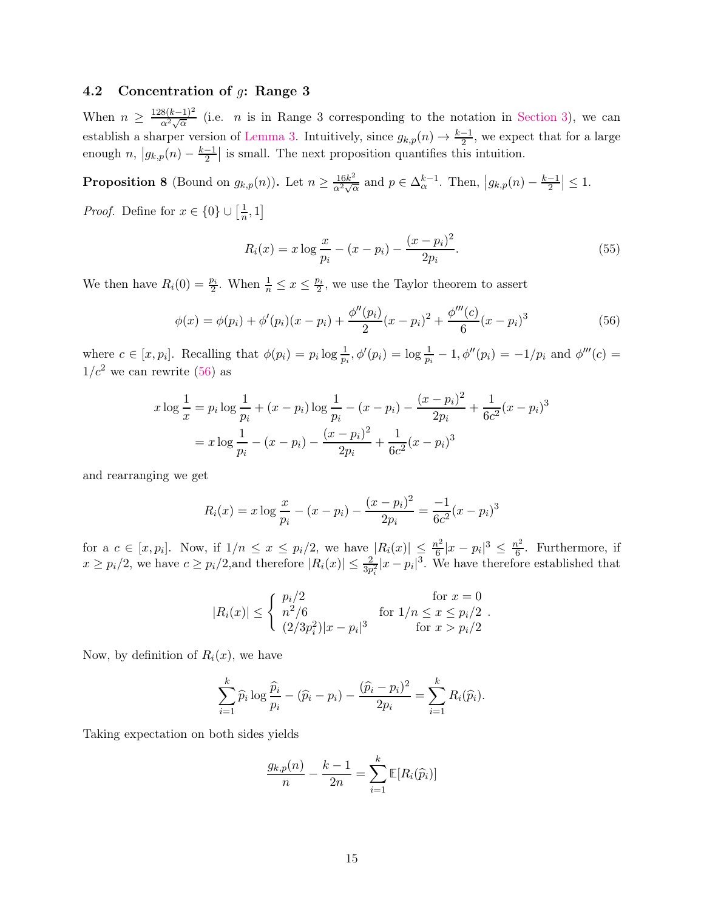### 4.2 Concentration of g: Range 3

When  $n \geq \frac{128(k-1)^2}{\alpha^2 \sqrt{\alpha}}$  (i.e. *n* is in Range 3 corresponding to the notation in [Section 3\)](#page-7-1), we can establish a sharper version of [Lemma 3.](#page-9-0) Intuitively, since  $g_{k,p}(n) \to \frac{k-1}{2}$ , we expect that for a large enough  $n, |g_{k,p}(n) - \frac{k-1}{2}|$  is small. The next proposition quantifies this intuition.

<span id="page-14-1"></span>**Proposition 8** (Bound on  $g_{k,p}(n)$ ). Let  $n \geq \frac{16k^2}{\alpha^2 \sqrt{\alpha}}$  and  $p \in \Delta_{\alpha}^{k-1}$ . Then,  $|g_{k,p}(n) - \frac{k-1}{2}| \leq 1$ .

*Proof.* Define for  $x \in \{0\} \cup \left[\frac{1}{n}\right]$  $\frac{1}{n}, 1]$ 

<span id="page-14-0"></span>
$$
R_i(x) = x \log \frac{x}{p_i} - (x - p_i) - \frac{(x - p_i)^2}{2p_i}.
$$
\n(55)

We then have  $R_i(0) = \frac{p_i}{2}$ . When  $\frac{1}{n} \leq x \leq \frac{p_i}{2}$ , we use the Taylor theorem to assert

$$
\phi(x) = \phi(p_i) + \phi'(p_i)(x - p_i) + \frac{\phi''(p_i)}{2}(x - p_i)^2 + \frac{\phi'''(c)}{6}(x - p_i)^3
$$
\n(56)

where  $c \in [x, p_i]$ . Recalling that  $\phi(p_i) = p_i \log \frac{1}{p_i}$ ,  $\phi'(p_i) = \log \frac{1}{p_i} - 1$ ,  $\phi''(p_i) = -1/p_i$  and  $\phi'''(c) =$  $1/c^2$  we can rewrite [\(56\)](#page-14-0) as

$$
x \log \frac{1}{x} = p_i \log \frac{1}{p_i} + (x - p_i) \log \frac{1}{p_i} - (x - p_i) - \frac{(x - p_i)^2}{2p_i} + \frac{1}{6c^2}(x - p_i)^3
$$

$$
= x \log \frac{1}{p_i} - (x - p_i) - \frac{(x - p_i)^2}{2p_i} + \frac{1}{6c^2}(x - p_i)^3
$$

and rearranging we get

$$
R_i(x) = x \log \frac{x}{p_i} - (x - p_i) - \frac{(x - p_i)^2}{2p_i} = \frac{-1}{6c^2}(x - p_i)^3
$$

for a  $c \in [x, p_i]$ . Now, if  $1/n \leq x \leq p_i/2$ , we have  $|R_i(x)| \leq \frac{n^2}{6}$  $\frac{n^2}{6}|x-p_i|^3 \leq \frac{n^2}{6}$  $\frac{v^2}{6}$ . Furthermore, if  $x \ge p_i/2$ , we have  $c \ge p_i/2$ , and therefore  $|R_i(x)| \le \frac{2}{3p_i^2}|x-p_i|^3$ . We have therefore established that

$$
|R_i(x)| \le \begin{cases} p_i/2 & \text{for } x = 0\\ n^2/6 & \text{for } 1/n \le x \le p_i/2\\ (2/3p_i^2)|x - p_i|^3 & \text{for } x > p_i/2 \end{cases}
$$

Now, by definition of  $R_i(x)$ , we have

$$
\sum_{i=1}^k \widehat{p}_i \log \frac{\widehat{p}_i}{p_i} - (\widehat{p}_i - p_i) - \frac{(\widehat{p}_i - p_i)^2}{2p_i} = \sum_{i=1}^k R_i(\widehat{p}_i).
$$

Taking expectation on both sides yields

$$
\frac{g_{k,p}(n)}{n} - \frac{k-1}{2n} = \sum_{i=1}^{k} \mathbb{E}[R_i(\widehat{p}_i)]
$$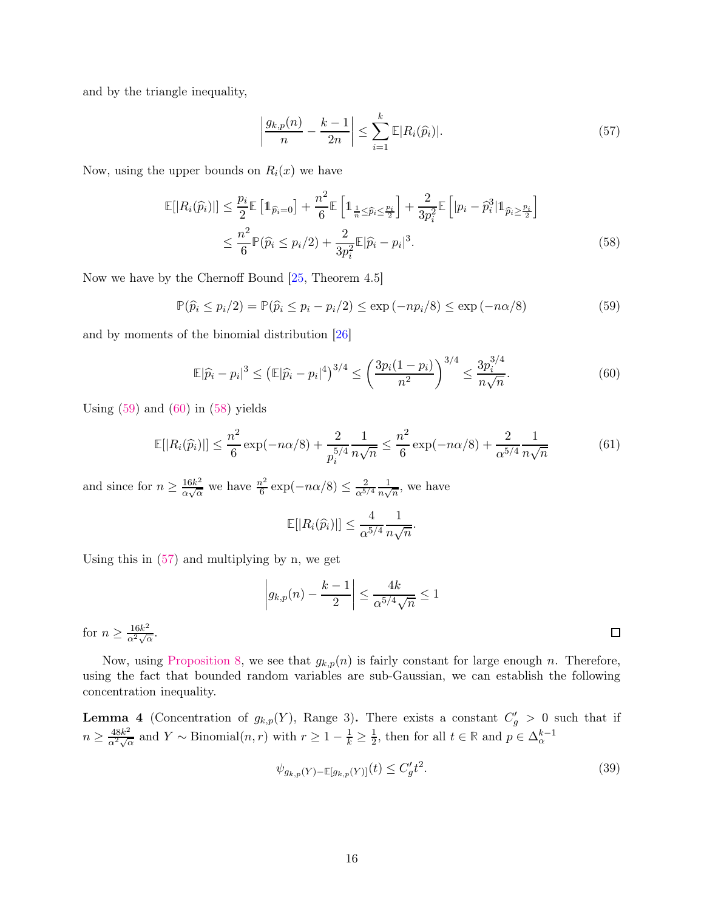and by the triangle inequality,

<span id="page-15-3"></span><span id="page-15-2"></span>
$$
\left|\frac{g_{k,p}(n)}{n} - \frac{k-1}{2n}\right| \le \sum_{i=1}^k \mathbb{E}|R_i(\widehat{p}_i)|. \tag{57}
$$

Now, using the upper bounds on  $R_i(x)$  we have

$$
\mathbb{E}[|R_i(\widehat{p}_i)|] \leq \frac{p_i}{2} \mathbb{E}\left[\mathbb{1}_{\widehat{p}_i=0}\right] + \frac{n^2}{6} \mathbb{E}\left[\mathbb{1}_{\frac{1}{n}\leq \widehat{p}_i\leq \frac{p_i}{2}}\right] + \frac{2}{3p_i^2} \mathbb{E}\left[|p_i - \widehat{p}_i^3| \mathbb{1}_{\widehat{p}_i\geq \frac{p_i}{2}}\right]
$$
  

$$
\leq \frac{n^2}{6} \mathbb{P}(\widehat{p}_i \leq p_i/2) + \frac{2}{3p_i^2} \mathbb{E}|\widehat{p}_i - p_i|^3.
$$
 (58)

Now we have by the Chernoff Bound [\[25,](#page-22-15) Theorem 4.5]

$$
\mathbb{P}(\widehat{p}_i \le p_i/2) = \mathbb{P}(\widehat{p}_i \le p_i - p_i/2) \le \exp(-np_i/8) \le \exp(-n\alpha/8)
$$
\n(59)

and by moments of the binomial distribution [\[26\]](#page-22-16)

$$
\mathbb{E}|\widehat{p}_i - p_i|^3 \le (\mathbb{E}|\widehat{p}_i - p_i|^4)^{3/4} \le \left(\frac{3p_i(1 - p_i)}{n^2}\right)^{3/4} \le \frac{3p_i^{3/4}}{n\sqrt{n}}.\tag{60}
$$

Using  $(59)$  and  $(60)$  in  $(58)$  yields

$$
\mathbb{E}[|R_i(\widehat{p}_i)|] \le \frac{n^2}{6} \exp(-n\alpha/8) + \frac{2}{p_i^{5/4}} \frac{1}{n\sqrt{n}} \le \frac{n^2}{6} \exp(-n\alpha/8) + \frac{2}{\alpha^{5/4}} \frac{1}{n\sqrt{n}} \tag{61}
$$

and since for  $n \geq \frac{16k^2}{\alpha \sqrt{\alpha}}$  $\frac{16k^2}{\alpha\sqrt{\alpha}}$  we have  $\frac{n^2}{6}$  $\frac{a^2}{6}$  exp( $-n\alpha/8$ )  $\leq \frac{2}{\alpha^{5/2}}$  $\alpha^{5/4}$ 1  $\frac{1}{n\sqrt{n}}$ , we have

$$
\mathbb{E}[|R_i(\widehat{p}_i)|] \leq \frac{4}{\alpha^{5/4}} \frac{1}{n\sqrt{n}}.
$$

Using this in [\(57\)](#page-15-3) and multiplying by n, we get

$$
\left| g_{k,p}(n) - \frac{k-1}{2} \right| \le \frac{4k}{\alpha^{5/4} \sqrt{n}} \le 1
$$

for  $n \geq \frac{16k^2}{\alpha^2 \sqrt{\alpha}}$ .

Now, using [Proposition 8,](#page-14-1) we see that  $g_{k,p}(n)$  is fairly constant for large enough n. Therefore, using the fact that bounded random variables are sub-Gaussian, we can establish the following concentration inequality.

**Lemma 4** (Concentration of  $g_{k,p}(Y)$ , Range 3). There exists a constant  $C'_g > 0$  such that if  $n \geq \frac{48k^2}{\alpha^2 \sqrt{\alpha}}$  and  $Y \sim \text{Binomial}(n, r)$  with  $r \geq 1 - \frac{1}{k} \geq \frac{1}{2}$  $\frac{1}{2}$ , then for all  $t \in \mathbb{R}$  and  $p \in \Delta_{\alpha}^{k-1}$ 

$$
\psi_{g_{k,p}(Y) - \mathbb{E}[g_{k,p}(Y)]}(t) \le C_g't^2.
$$
\n(39)

<span id="page-15-1"></span><span id="page-15-0"></span> $\Box$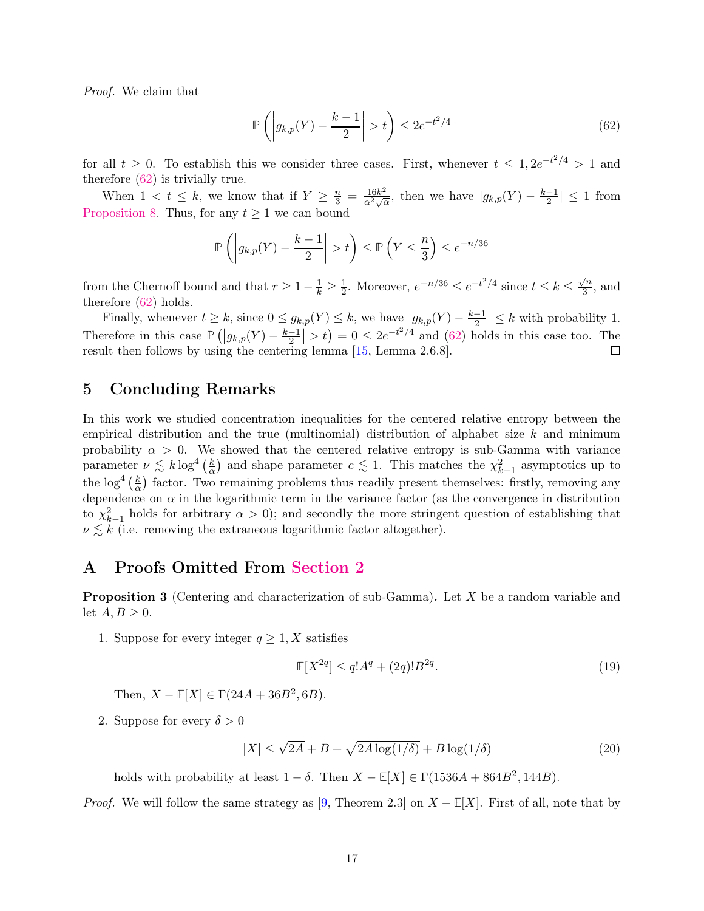Proof. We claim that

<span id="page-16-2"></span>
$$
\mathbb{P}\left(\left|g_{k,p}(Y) - \frac{k-1}{2}\right| > t\right) \le 2e^{-t^2/4} \tag{62}
$$

for all  $t \geq 0$ . To establish this we consider three cases. First, whenever  $t \leq 1, 2e^{-t^2/4} > 1$  and therefore [\(62\)](#page-16-2) is trivially true.

When  $1 < t \leq k$ , we know that if  $Y \geq \frac{n}{3} = \frac{16k^2}{\alpha^2 \sqrt{\alpha}}$ , then we have  $|g_{k,p}(Y) - \frac{k-1}{2}| \leq 1$  from [Proposition 8.](#page-14-1) Thus, for any  $t \geq 1$  we can bound

$$
\mathbb{P}\left(\left|g_{k,p}(Y) - \frac{k-1}{2}\right| > t\right) \le \mathbb{P}\left(Y \le \frac{n}{3}\right) \le e^{-n/36}
$$

from the Chernoff bound and that  $r \geq 1 - \frac{1}{k} \geq \frac{1}{2}$ <sup>1</sup>/<sub>2</sub>. Moreover,  $e^{-n/36} \le e^{-t^2/4}$  since  $t \le k \le \frac{\sqrt{n}}{3}$  $\frac{\pi}{3}$ , and therefore [\(62\)](#page-16-2) holds.

Finally, whenever  $t \geq k$ , since  $0 \leq g_{k,p}(Y) \leq k$ , we have  $|g_{k,p}(Y) - \frac{k-1}{2}| \leq k$  with probability 1. Therefore in this case  $\mathbb{P}(|g_{k,p}(Y) - \frac{k-1}{2}| > t) = 0 \leq 2e^{-t^2/4}$  and [\(62\)](#page-16-2) holds in this case too. The result then follows by using the centering lemma [\[15,](#page-22-5) Lemma 2.6.8]. 囗

### <span id="page-16-0"></span>5 Concluding Remarks

In this work we studied concentration inequalities for the centered relative entropy between the empirical distribution and the true (multinomial) distribution of alphabet size  $k$  and minimum probability  $\alpha > 0$ . We showed that the centered relative entropy is sub-Gamma with variance parameter  $\nu \lesssim k \log^4(\frac{k}{\alpha})$  $\frac{k}{\alpha}$ ) and shape parameter  $c \lesssim 1$ . This matches the  $\chi^2_{k-1}$  asymptotics up to the  $\log^4\left(\frac{k}{\alpha}\right)$  $\frac{k}{\alpha}$ ) factor. Two remaining problems thus readily present themselves: firstly, removing any dependence on  $\alpha$  in the logarithmic term in the variance factor (as the convergence in distribution to  $\chi^2_{k-1}$  holds for arbitrary  $\alpha > 0$ ); and secondly the more stringent question of establishing that  $\nu \lesssim k$  (i.e. removing the extraneous logarithmic factor altogether).

# <span id="page-16-1"></span>A Proofs Omitted From [Section 2](#page-5-0)

**Proposition 3** (Centering and characterization of sub-Gamma). Let X be a random variable and let  $A, B \geq 0$ .

1. Suppose for every integer  $q \geq 1, X$  satisfies

$$
\mathbb{E}[X^{2q}] \le q!A^q + (2q)!B^{2q}.\tag{19}
$$

Then,  $X - \mathbb{E}[X] \in \Gamma(24A + 36B^2, 6B)$ .

2. Suppose for every  $\delta > 0$ 

$$
|X| \le \sqrt{2A} + B + \sqrt{2A \log(1/\delta)} + B \log(1/\delta)
$$
\n(20)

holds with probability at least  $1 - \delta$ . Then  $X - \mathbb{E}[X] \in \Gamma(1536A + 864B^2, 144B)$ .

*Proof.* We will follow the same strategy as [\[9,](#page-22-0) Theorem 2.3] on  $X - \mathbb{E}[X]$ . First of all, note that by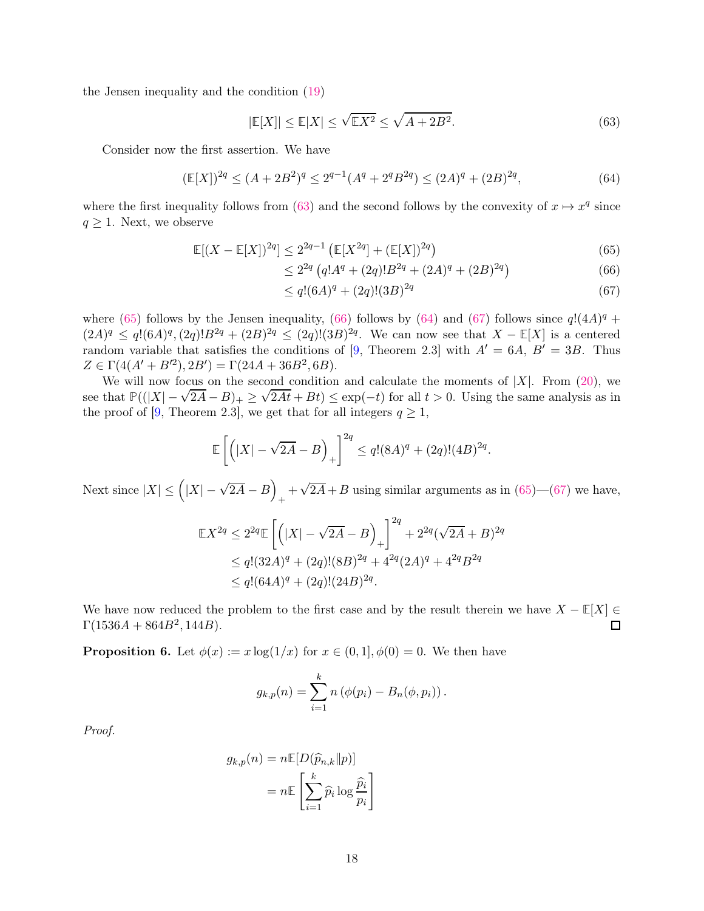the Jensen inequality and the condition [\(19\)](#page-5-6)

<span id="page-17-0"></span>
$$
|\mathbb{E}[X]| \le \mathbb{E}|X| \le \sqrt{\mathbb{E}X^2} \le \sqrt{A + 2B^2}.
$$
\n(63)

Consider now the first assertion. We have

$$
(\mathbb{E}[X])^{2q} \le (A + 2B^2)^q \le 2^{q-1}(A^q + 2^q B^{2q}) \le (2A)^q + (2B)^{2q},\tag{64}
$$

where the first inequality follows from [\(63\)](#page-17-0) and the second follows by the convexity of  $x \mapsto x^q$  since  $q \geq 1$ . Next, we observe

$$
\mathbb{E}[(X - \mathbb{E}[X])^{2q}] \le 2^{2q-1} \left( \mathbb{E}[X^{2q}] + (\mathbb{E}[X])^{2q} \right)
$$
\n(65)

$$
\leq 2^{2q} \left( q!A^q + (2q)!B^{2q} + (2A)^q + (2B)^{2q} \right) \tag{66}
$$

<span id="page-17-4"></span><span id="page-17-3"></span><span id="page-17-2"></span><span id="page-17-1"></span>
$$
\leq q!(6A)^{q} + (2q)!(3B)^{2q} \tag{67}
$$

where [\(65\)](#page-17-1) follows by the Jensen inequality, [\(66\)](#page-17-2) follows by [\(64\)](#page-17-3) and [\(67\)](#page-17-4) follows since  $q!(4A)^q$  +  $(2A)^q \le q!(6A)^q$ ,  $(2q)!B^{2q} + (2B)^{2q} \le (2q)!(3B)^{2q}$ . We can now see that  $X - \mathbb{E}[X]$  is a centered random variable that satisfies the conditions of [\[9,](#page-22-0) Theorem 2.3] with  $A' = 6A$ ,  $B' = 3B$ . Thus  $Z \in \Gamma(4(A' + B'^2), 2B') = \Gamma(24A + 36B^2, 6B).$ 

We will now focus on the second condition and calculate the moments of  $|X|$ . From [\(20\)](#page-6-5), we see that  $\mathbb{P}((|X| - \sqrt{2A} - B)_+ \ge \sqrt{2At} + Bt) \le \exp(-t)$  for all  $t > 0$ . Using the same analysis as in the proof of [\[9,](#page-22-0) Theorem 2.3], we get that for all integers  $q \ge 1$ ,

$$
\mathbb{E}\left[\left(|X| - \sqrt{2A} - B\right)_{+}\right]^{2q} \le q!(8A)^{q} + (2q)!(4B)^{2q}.
$$

Next since  $|X| \leq (|X| - \sqrt{2A} - B)$  $+\sqrt{2A}+B$  using similar arguments as in [\(65\)](#page-17-1)—[\(67\)](#page-17-4) we have,

$$
\mathbb{E}X^{2q} \le 2^{2q} \mathbb{E}\left[\left(|X| - \sqrt{2A} - B\right)_+\right]^{2q} + 2^{2q}(\sqrt{2A} + B)^{2q}
$$
  
\n
$$
\le q!(32A)^q + (2q)!(8B)^{2q} + 4^{2q}(2A)^q + 4^{2q}B^{2q}
$$
  
\n
$$
\le q!(64A)^q + (2q)!(24B)^{2q}.
$$

We have now reduced the problem to the first case and by the result therein we have  $X - \mathbb{E}[X] \in \Gamma(1536A + 864B^2, 144B)$ .  $\Gamma(1536A + 864B^2, 144B).$ 

**Proposition 6.** Let  $\phi(x) := x \log(1/x)$  for  $x \in (0,1], \phi(0) = 0$ . We then have

$$
g_{k,p}(n) = \sum_{i=1}^{k} n (\phi(p_i) - B_n(\phi, p_i)).
$$

Proof.

$$
g_{k,p}(n) = n \mathbb{E}[D(\widehat{p}_{n,k}||p)]
$$

$$
= n \mathbb{E}\left[\sum_{i=1}^{k} \widehat{p}_i \log \frac{\widehat{p}_i}{p_i}\right]
$$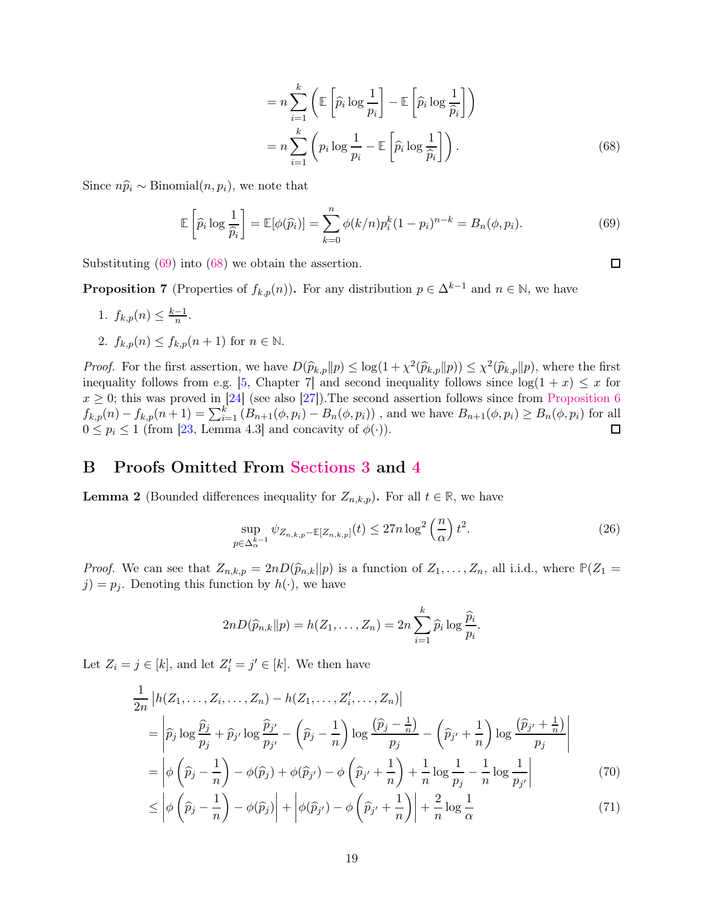$$
= n \sum_{i=1}^{k} \left( \mathbb{E} \left[ \widehat{p}_i \log \frac{1}{p_i} \right] - \mathbb{E} \left[ \widehat{p}_i \log \frac{1}{\widehat{p}_i} \right] \right)
$$
  

$$
= n \sum_{i=1}^{k} \left( p_i \log \frac{1}{p_i} - \mathbb{E} \left[ \widehat{p}_i \log \frac{1}{\widehat{p}_i} \right] \right).
$$
 (68)

<span id="page-18-2"></span><span id="page-18-1"></span> $\Box$ 

Since  $n\hat{p}_i \sim \text{Binomial}(n, p_i)$ , we note that

$$
\mathbb{E}\left[\widehat{p}_i \log \frac{1}{\widehat{p}_i}\right] = \mathbb{E}[\phi(\widehat{p}_i)] = \sum_{k=0}^n \phi(k/n) p_i^k (1-p_i)^{n-k} = B_n(\phi, p_i). \tag{69}
$$

Substituting [\(69\)](#page-18-1) into [\(68\)](#page-18-2) we obtain the assertion.

**Proposition 7** (Properties of  $f_{k,p}(n)$ ). For any distribution  $p \in \Delta^{k-1}$  and  $n \in \mathbb{N}$ , we have

$$
1. f_{k,p}(n) \le \frac{k-1}{n}.
$$

2. 
$$
f_{k,p}(n) \le f_{k,p}(n+1)
$$
 for  $n \in \mathbb{N}$ .

*Proof.* For the first assertion, we have  $D(\widehat{p}_{k,p}||p) \leq \log(1 + \chi^2(\widehat{p}_{k,p}||p)) \leq \chi^2(\widehat{p}_{k,p}||p)$ , where the first inequality follows from e.g. [\[5,](#page-21-4) Chapter 7] and second inequality follows since  $log(1 + x) \leq x$  for  $x \geq 0$ ; this was proved in [\[24\]](#page-22-14) (see also [\[27\]](#page-23-0)). The second assertion follows since from [Proposition 6](#page-7-2)  $f_{k,p}(n) - f_{k,p}(n+1) = \sum_{i=1}^{k} (B_{n+1}(\phi, p_i) - B_n(\phi, p_i))$ , and we have  $B_{n+1}(\phi, p_i) \ge B_n(\phi, p_i)$  for all  $0 \leq p_i \leq 1$  (from [\[23,](#page-22-13) Lemma 4.3] and concavity of  $\phi(\cdot)$ ).

# <span id="page-18-0"></span>B Proofs Omitted From [Sections 3](#page-7-1) and [4](#page-11-1)

**Lemma 2** (Bounded differences inequality for  $Z_{n,k,p}$ ). For all  $t \in \mathbb{R}$ , we have

$$
\sup_{p \in \Delta_{\alpha}^{k-1}} \psi_{Z_{n,k,p} - \mathbb{E}[Z_{n,k,p}]}(t) \le 27n \log^2\left(\frac{n}{\alpha}\right) t^2.
$$
\n(26)

*Proof.* We can see that  $Z_{n,k,p} = 2nD(\hat{p}_{n,k}||p)$  is a function of  $Z_1, \ldots, Z_n$ , all i.i.d., where  $\mathbb{P}(Z_1 =$  $j$ ) =  $p_j$ . Denoting this function by  $h(\cdot)$ , we have

<span id="page-18-4"></span><span id="page-18-3"></span>
$$
2nD(\widehat{p}_{n,k}||p) = h(Z_1,\ldots,Z_n) = 2n\sum_{i=1}^k \widehat{p}_i \log \frac{\widehat{p}_i}{p_i}.
$$

Let  $Z_i = j \in [k]$ , and let  $Z'_i = j' \in [k]$ . We then have

$$
\frac{1}{2n} \left| h(Z_1, \dots, Z_i, \dots, Z_n) - h(Z_1, \dots, Z'_i, \dots, Z_n) \right|
$$
\n
$$
= \left| \hat{p}_j \log \frac{\hat{p}_j}{p_j} + \hat{p}_{j'} \log \frac{\hat{p}_{j'}}{p_{j'}} - \left( \hat{p}_j - \frac{1}{n} \right) \log \frac{\left( \hat{p}_j - \frac{1}{n} \right)}{p_j} - \left( \hat{p}_{j'} + \frac{1}{n} \right) \log \frac{\left( \hat{p}_{j'} + \frac{1}{n} \right)}{p_j} \right|
$$
\n
$$
= \left| \phi \left( \hat{p}_j - \frac{1}{n} \right) - \phi(\hat{p}_j) + \phi(\hat{p}_{j'}) - \phi \left( \hat{p}_{j'} + \frac{1}{n} \right) + \frac{1}{n} \log \frac{1}{p_j} - \frac{1}{n} \log \frac{1}{p_{j'}} \right| \tag{70}
$$

$$
\leq \left| \phi\left(\widehat{p}_j - \frac{1}{n}\right) - \phi(\widehat{p}_j) \right| + \left| \phi(\widehat{p}_{j'}) - \phi\left(\widehat{p}_{j'} + \frac{1}{n}\right) \right| + \frac{2}{n} \log \frac{1}{\alpha} \tag{71}
$$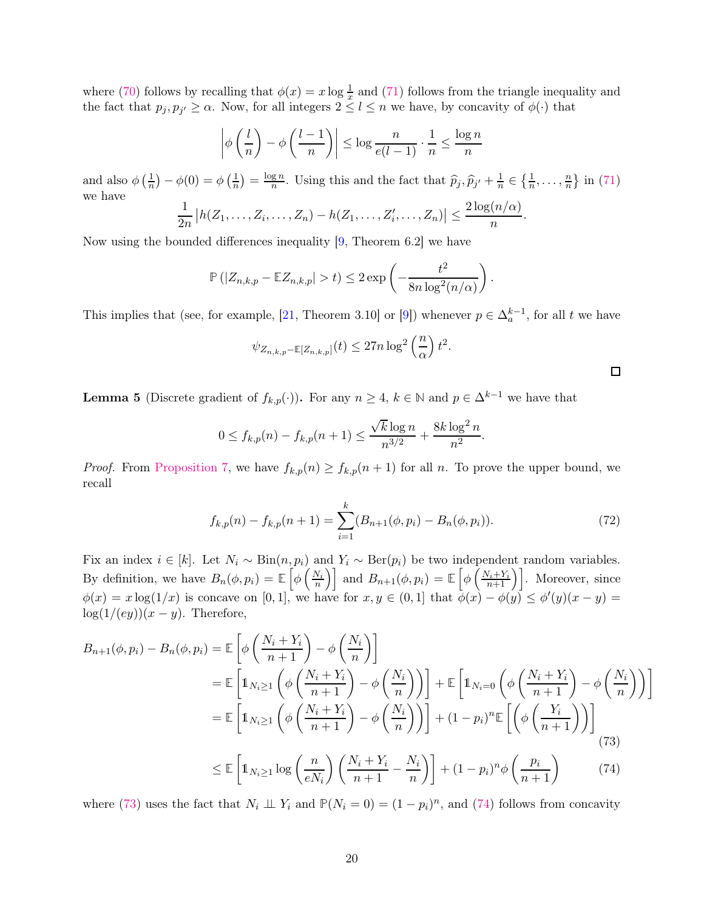where [\(70\)](#page-18-3) follows by recalling that  $\phi(x) = x \log \frac{1}{x}$  and [\(71\)](#page-18-4) follows from the triangle inequality and the fact that  $p_j, p_{j'} \geq \alpha$ . Now, for all integers  $2 \leq l \leq n$  we have, by concavity of  $\phi(\cdot)$  that

$$
\left| \phi\left(\frac{l}{n}\right) - \phi\left(\frac{l-1}{n}\right) \right| \le \log \frac{n}{e(l-1)} \cdot \frac{1}{n} \le \frac{\log n}{n}
$$

and also  $\phi\left(\frac{1}{n}\right)$  $(\frac{1}{n}) - \phi(0) = \phi(\frac{1}{n})$  $\frac{1}{n}$ ) =  $\frac{\log n}{n}$  $\frac{gn}{n}$ . Using this and the fact that  $\widehat{p}_j, \widehat{p}_{j'} + \frac{1}{n}$  $\frac{1}{n} \in \left\{\frac{1}{n}, \ldots, \frac{n}{n}\right\}$  $\frac{n}{n}$  in [\(71\)](#page-18-4) we have

$$
\frac{1}{2n}\big|h(Z_1,\ldots,Z_i,\ldots,Z_n)-h(Z_1,\ldots,Z_i',\ldots,Z_n)\big|\leq \frac{2\log(n/\alpha)}{n}.
$$

Now using the bounded differences inequality [\[9,](#page-22-0) Theorem 6.2] we have

$$
\mathbb{P}\left(|Z_{n,k,p} - \mathbb{E}Z_{n,k,p}| > t\right) \leq 2\exp\left(-\frac{t^2}{8n\log^2(n/\alpha)}\right).
$$

This implies that (see, for example, [\[21,](#page-22-11) Theorem 3.10] or [\[9\]](#page-22-0)) whenever  $p \in \Delta_a^{k-1}$ , for all t we have

$$
\psi_{Z_{n,k,p}-\mathbb{E}[Z_{n,k,p}]}(t) \leq 27n \log^2\left(\frac{n}{\alpha}\right) t^2.
$$

<span id="page-19-2"></span><span id="page-19-1"></span><span id="page-19-0"></span> $\Box$ 

**Lemma 5** (Discrete gradient of  $f_{k,p}(\cdot)$ ). For any  $n \geq 4$ ,  $k \in \mathbb{N}$  and  $p \in \Delta^{k-1}$  we have that

$$
0 \le f_{k,p}(n) - f_{k,p}(n+1) \le \frac{\sqrt{k} \log n}{n^{3/2}} + \frac{8k \log^2 n}{n^2}.
$$

*Proof.* From [Proposition 7,](#page-7-3) we have  $f_{k,p}(n) \geq f_{k,p}(n+1)$  for all n. To prove the upper bound, we recall

$$
f_{k,p}(n) - f_{k,p}(n+1) = \sum_{i=1}^{k} (B_{n+1}(\phi, p_i) - B_n(\phi, p_i)).
$$
\n(72)

Fix an index  $i \in [k]$ . Let  $N_i \sim Bin(n, p_i)$  and  $Y_i \sim Ber(p_i)$  be two independent random variables. By definition, we have  $B_n(\phi, p_i) = \mathbb{E}\left[\phi\left(\frac{N_i}{n}\right)\right]$  and  $B_{n+1}(\phi, p_i) = \mathbb{E}\left[\phi\left(\frac{N_i + Y_i}{n+1}\right)\right]$ . Moreover, since  $\phi(x) = x \log(1/x)$  is concave on [0, 1], we have for  $x, y \in (0, 1]$  that  $\phi(x) - \phi(y) \leq \phi'(y)(x - y) =$  $log(1/(ey))(x-y)$ . Therefore,

$$
B_{n+1}(\phi, p_i) - B_n(\phi, p_i) = \mathbb{E}\left[\phi\left(\frac{N_i + Y_i}{n+1}\right) - \phi\left(\frac{N_i}{n}\right)\right]
$$
  
\n
$$
= \mathbb{E}\left[\mathbb{1}_{N_i \ge 1}\left(\phi\left(\frac{N_i + Y_i}{n+1}\right) - \phi\left(\frac{N_i}{n}\right)\right)\right] + \mathbb{E}\left[\mathbb{1}_{N_i = 0}\left(\phi\left(\frac{N_i + Y_i}{n+1}\right) - \phi\left(\frac{N_i}{n}\right)\right)\right]
$$
  
\n
$$
= \mathbb{E}\left[\mathbb{1}_{N_i \ge 1}\left(\phi\left(\frac{N_i + Y_i}{n+1}\right) - \phi\left(\frac{N_i}{n}\right)\right)\right] + (1 - p_i)^n \mathbb{E}\left[\left(\phi\left(\frac{Y_i}{n+1}\right)\right)\right]
$$
  
\n
$$
\le \mathbb{E}\left[\mathbb{1}_{N_i \ge 1}\log\left(\frac{n}{eN_i}\right)\left(\frac{N_i + Y_i}{n+1} - \frac{N_i}{n}\right)\right] + (1 - p_i)^n \phi\left(\frac{p_i}{n+1}\right) \tag{74}
$$

where [\(73\)](#page-19-0) uses the fact that  $N_i \perp \!\!\! \perp Y_i$  and  $\mathbb{P}(N_i = 0) = (1 - p_i)^n$ , and [\(74\)](#page-19-1) follows from concavity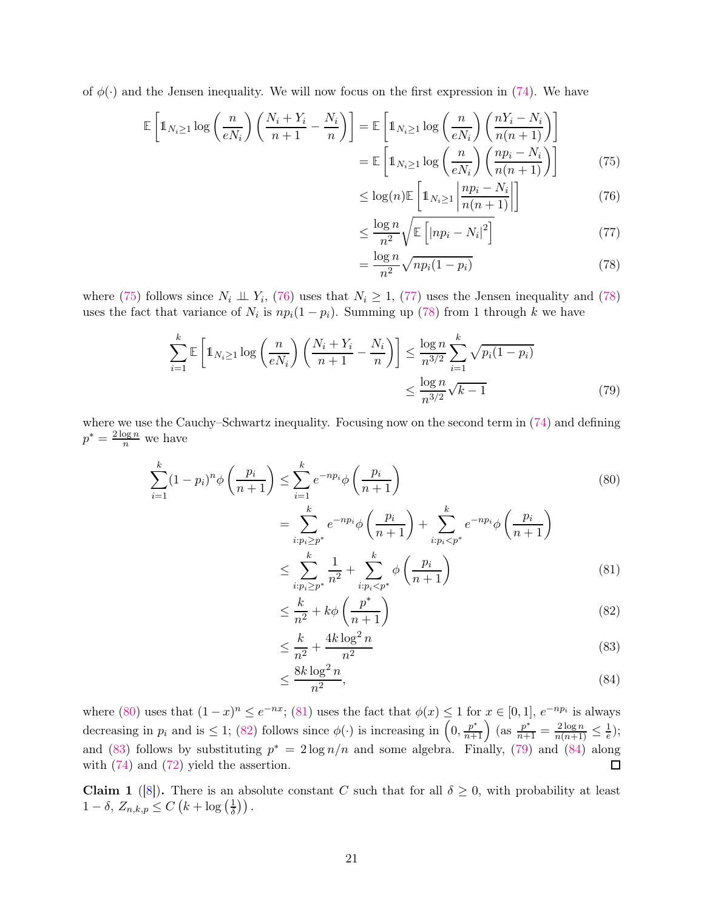of  $\phi(\cdot)$  and the Jensen inequality. We will now focus on the first expression in [\(74\)](#page-19-1). We have

$$
\mathbb{E}\left[\mathbb{1}_{N_{i}\geq 1}\log\left(\frac{n}{eN_{i}}\right)\left(\frac{N_{i}+Y_{i}}{n+1}-\frac{N_{i}}{n}\right)\right] = \mathbb{E}\left[\mathbb{1}_{N_{i}\geq 1}\log\left(\frac{n}{eN_{i}}\right)\left(\frac{nY_{i}-N_{i}}{n(n+1)}\right)\right]
$$
\n
$$
= \mathbb{E}\left[\mathbb{1}_{N_{i}\geq 1}\log\left(\frac{n}{eN_{i}}\right)\left(\frac{np_{i}-N_{i}}{n(n+1)}\right)\right] \tag{75}
$$

<span id="page-20-1"></span><span id="page-20-0"></span>
$$
\leq \log(n) \mathbb{E}\left[\mathbb{1}_{N_i \geq 1} \left| \frac{np_i - N_i}{n(n+1)} \right|\right] \tag{76}
$$

<span id="page-20-2"></span>
$$
\leq \frac{\log n}{n^2} \sqrt{\mathbb{E}\left[ |np_i - N_i|^2 \right]} \tag{77}
$$

<span id="page-20-8"></span><span id="page-20-4"></span><span id="page-20-3"></span>
$$
=\frac{\log n}{n^2}\sqrt{np_i(1-p_i)}
$$
\n(78)

where [\(75\)](#page-20-0) follows since  $N_i \perp V_i$ , [\(76\)](#page-20-1) uses that  $N_i \geq 1$ , [\(77\)](#page-20-2) uses the Jensen inequality and [\(78\)](#page-20-3) uses the fact that variance of  $N_i$  is  $np_i(1-p_i)$ . Summing up [\(78\)](#page-20-3) from 1 through k we have

$$
\sum_{i=1}^{k} \mathbb{E}\left[\mathbb{1}_{N_i \ge 1} \log\left(\frac{n}{eN_i}\right) \left(\frac{N_i + Y_i}{n+1} - \frac{N_i}{n}\right)\right] \le \frac{\log n}{n^{3/2}} \sum_{i=1}^{k} \sqrt{p_i(1 - p_i)}
$$
\n
$$
\le \frac{\log n}{n^{3/2}} \sqrt{k-1}
$$
\n(79)

where we use the Cauchy–Schwartz inequality. Focusing now on the second term in [\(74\)](#page-19-1) and defining  $p^* = \frac{2 \log n}{n}$  we have

$$
\sum_{i=1}^{k} (1 - p_i)^n \phi\left(\frac{p_i}{n+1}\right) \le \sum_{i=1}^{k} e^{-np_i} \phi\left(\frac{p_i}{n+1}\right)
$$
\n(80)

$$
= \sum_{i:p_i \ge p^*}^{k} e^{-np_i} \phi\left(\frac{p_i}{n+1}\right) + \sum_{i:p_i < p^*}^{k} e^{-np_i} \phi\left(\frac{p_i}{n+1}\right)
$$
\n
$$
\le \sum_{i:p_i \ge p^*}^{k} \frac{1}{n^2} + \sum_{i:p_i < p^*}^{k} \phi\left(\frac{p_i}{n+1}\right) \tag{81}
$$

<span id="page-20-6"></span><span id="page-20-5"></span>
$$
\leq \frac{k}{n^2} + k\phi \left(\frac{p^*}{n+1}\right) \tag{82}
$$

<span id="page-20-7"></span>
$$
\leq \frac{k}{n^2} + \frac{4k \log^2 n}{n^2} \tag{83}
$$

<span id="page-20-9"></span>
$$
\leq \frac{8k\log^2 n}{n^2},\tag{84}
$$

where [\(80\)](#page-20-4) uses that  $(1-x)^n \leq e^{-nx}$ ; [\(81\)](#page-20-5) uses the fact that  $\phi(x) \leq 1$  for  $x \in [0,1]$ ,  $e^{-np_i}$  is always decreasing in  $p_i$  and is  $\leq 1$ ; [\(82\)](#page-20-6) follows since  $\phi(\cdot)$  is increasing in  $\left(0, \frac{p^*}{n+1}\right)$  (as  $\frac{p^*}{n+1} = \frac{2\log n}{n(n+1)} \leq \frac{1}{e}$  $(\frac{1}{e})$ ; and [\(83\)](#page-20-7) follows by substituting  $p^* = 2 \log n/n$  and some algebra. Finally, [\(79\)](#page-20-8) and [\(84\)](#page-20-9) along with [\(74\)](#page-19-1) and [\(72\)](#page-19-2) yield the assertion.  $\Box$ 

**Claim 1** ([\[8\]](#page-21-7)). There is an absolute constant C such that for all  $\delta \geq 0$ , with probability at least  $1-\delta$ ,  $Z_{n,k,p} \leq C\left(k+\log\left(\frac{1}{\delta}\right)\right)$  $\frac{1}{\delta})$ ).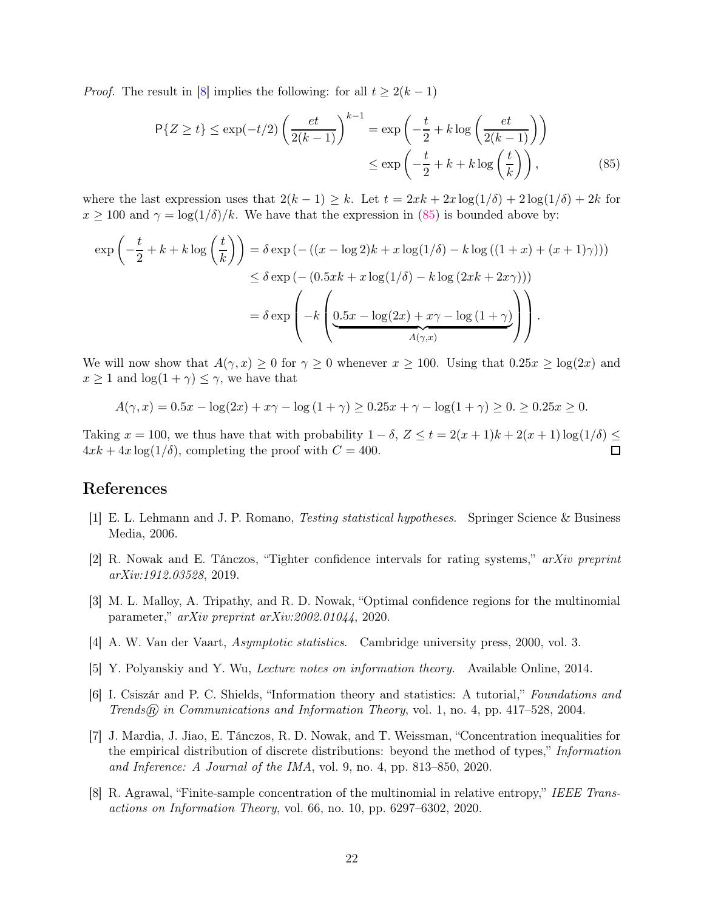*Proof.* The result in [\[8\]](#page-21-7) implies the following: for all  $t \geq 2(k-1)$ 

<span id="page-21-8"></span>
$$
P\{Z \ge t\} \le \exp(-t/2) \left(\frac{et}{2(k-1)}\right)^{k-1} = \exp\left(-\frac{t}{2} + k\log\left(\frac{et}{2(k-1)}\right)\right)
$$

$$
\le \exp\left(-\frac{t}{2} + k + k\log\left(\frac{t}{k}\right)\right),\tag{85}
$$

where the last expression uses that  $2(k-1) \geq k$ . Let  $t = 2xk + 2x \log(1/\delta) + 2 \log(1/\delta) + 2k$  for  $x \ge 100$  and  $\gamma = \log(1/\delta)/k$ . We have that the expression in [\(85\)](#page-21-8) is bounded above by:

$$
\exp\left(-\frac{t}{2} + k + k\log\left(\frac{t}{k}\right)\right) = \delta \exp\left(-\left((x - \log 2)k + x\log(1/\delta) - k\log\left((1 + x) + (x + 1)\gamma\right)\right)\right)
$$
  

$$
\leq \delta \exp\left(-\left(0.5xk + x\log(1/\delta) - k\log\left(2xk + 2x\gamma\right)\right)\right)
$$
  

$$
= \delta \exp\left(-k\left(\underbrace{0.5x - \log(2x) + x\gamma - \log\left(1 + \gamma\right)}_{A(\gamma, x)}\right)\right).
$$

We will now show that  $A(\gamma, x) \geq 0$  for  $\gamma \geq 0$  whenever  $x \geq 100$ . Using that  $0.25x \geq \log(2x)$  and  $x \geq 1$  and  $\log(1 + \gamma) \leq \gamma$ , we have that

$$
A(\gamma, x) = 0.5x - \log(2x) + x\gamma - \log(1 + \gamma) \ge 0.25x + \gamma - \log(1 + \gamma) \ge 0.25x \ge 0.
$$

Taking  $x = 100$ , we thus have that with probability  $1 - \delta$ ,  $Z \le t = 2(x + 1)k + 2(x + 1)\log(1/\delta) \le 4rk + 4r\log(1/\delta)$  completing the proof with  $C = 400$  $4xk + 4x \log(1/\delta)$ , completing the proof with  $C = 400$ .

# <span id="page-21-0"></span>References

- <span id="page-21-1"></span>[1] E. L. Lehmann and J. P. Romano, Testing statistical hypotheses. Springer Science & Business Media, 2006.
- <span id="page-21-2"></span>[2] R. Nowak and E. Tánczos, "Tighter confidence intervals for rating systems," arXiv preprint arXiv:1912.03528, 2019.
- <span id="page-21-3"></span>[3] M. L. Malloy, A. Tripathy, and R. D. Nowak, "Optimal confidence regions for the multinomial parameter," arXiv preprint arXiv:2002.01044, 2020.
- <span id="page-21-4"></span>[4] A. W. Van der Vaart, Asymptotic statistics. Cambridge university press, 2000, vol. 3.
- <span id="page-21-5"></span>[5] Y. Polyanskiy and Y. Wu, Lecture notes on information theory. Available Online, 2014.
- <span id="page-21-6"></span>[6] I. Csiszár and P. C. Shields, "Information theory and statistics: A tutorial," Foundations and Trends $\hat{R}$  in Communications and Information Theory, vol. 1, no. 4, pp. 417–528, 2004.
- [7] J. Mardia, J. Jiao, E. Tánczos, R. D. Nowak, and T. Weissman, "Concentration inequalities for the empirical distribution of discrete distributions: beyond the method of types," Information and Inference: A Journal of the IMA, vol. 9, no. 4, pp. 813–850, 2020.
- <span id="page-21-7"></span>[8] R. Agrawal, "Finite-sample concentration of the multinomial in relative entropy," IEEE Transactions on Information Theory, vol. 66, no. 10, pp. 6297–6302, 2020.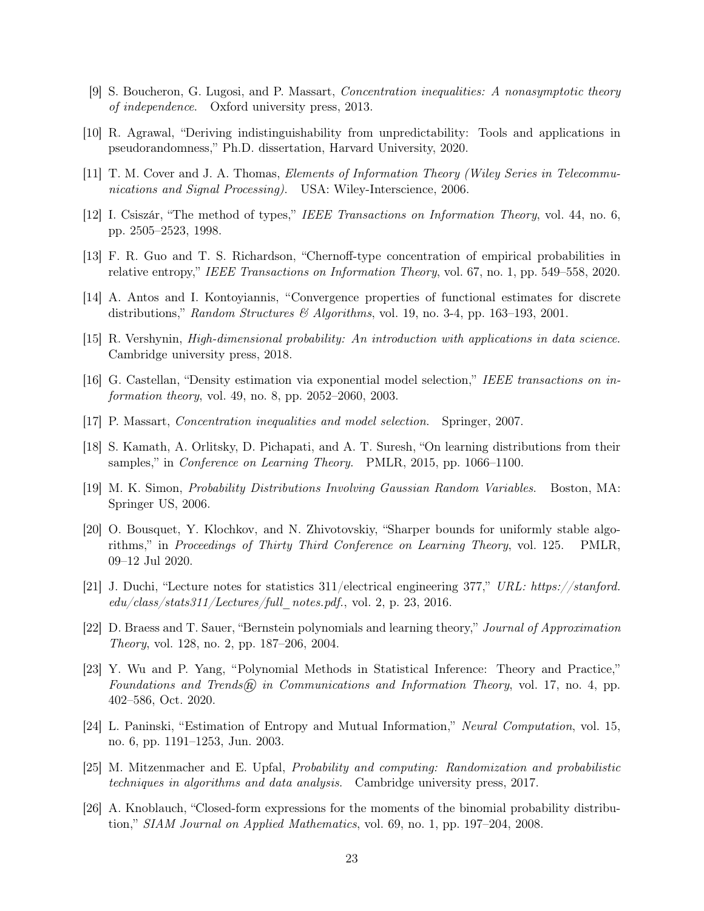- <span id="page-22-1"></span><span id="page-22-0"></span>[9] S. Boucheron, G. Lugosi, and P. Massart, Concentration inequalities: A nonasymptotic theory of independence. Oxford university press, 2013.
- [10] R. Agrawal, "Deriving indistinguishability from unpredictability: Tools and applications in pseudorandomness," Ph.D. dissertation, Harvard University, 2020.
- <span id="page-22-2"></span>[11] T. M. Cover and J. A. Thomas, Elements of Information Theory (Wiley Series in Telecommunications and Signal Processing). USA: Wiley-Interscience, 2006.
- <span id="page-22-3"></span>[12] I. Csiszár, "The method of types," IEEE Transactions on Information Theory, vol. 44, no. 6, pp. 2505–2523, 1998.
- <span id="page-22-4"></span>[13] F. R. Guo and T. S. Richardson, "Chernoff-type concentration of empirical probabilities in relative entropy," IEEE Transactions on Information Theory, vol. 67, no. 1, pp. 549–558, 2020.
- <span id="page-22-5"></span>[14] A. Antos and I. Kontoyiannis, "Convergence properties of functional estimates for discrete distributions," Random Structures & Algorithms, vol. 19, no. 3-4, pp. 163-193, 2001.
- <span id="page-22-6"></span>[15] R. Vershynin, High-dimensional probability: An introduction with applications in data science. Cambridge university press, 2018.
- <span id="page-22-7"></span>[16] G. Castellan, "Density estimation via exponential model selection," IEEE transactions on information theory, vol. 49, no. 8, pp. 2052–2060, 2003.
- <span id="page-22-8"></span>[17] P. Massart, Concentration inequalities and model selection. Springer, 2007.
- <span id="page-22-9"></span>[18] S. Kamath, A. Orlitsky, D. Pichapati, and A. T. Suresh, "On learning distributions from their samples," in *Conference on Learning Theory.* PMLR, 2015, pp. 1066–1100.
- <span id="page-22-10"></span>[19] M. K. Simon, Probability Distributions Involving Gaussian Random Variables. Boston, MA: Springer US, 2006.
- [20] O. Bousquet, Y. Klochkov, and N. Zhivotovskiy, "Sharper bounds for uniformly stable algorithms," in Proceedings of Thirty Third Conference on Learning Theory, vol. 125. PMLR, 09–12 Jul 2020.
- <span id="page-22-11"></span>[21] J. Duchi, "Lecture notes for statistics 311/electrical engineering 377," URL: https://stanford.  $edu/dass/stats311/Lectures/full$  notes.pdf., vol. 2, p. 23, 2016.
- <span id="page-22-12"></span>[22] D. Braess and T. Sauer, "Bernstein polynomials and learning theory," Journal of Approximation Theory, vol. 128, no. 2, pp. 187–206, 2004.
- <span id="page-22-13"></span>[23] Y. Wu and P. Yang, "Polynomial Methods in Statistical Inference: Theory and Practice," Foundations and Trends $(\widehat{R})$  in Communications and Information Theory, vol. 17, no. 4, pp. 402–586, Oct. 2020.
- <span id="page-22-15"></span><span id="page-22-14"></span>[24] L. Paninski, "Estimation of Entropy and Mutual Information," Neural Computation, vol. 15, no. 6, pp. 1191–1253, Jun. 2003.
- [25] M. Mitzenmacher and E. Upfal, Probability and computing: Randomization and probabilistic techniques in algorithms and data analysis. Cambridge university press, 2017.
- <span id="page-22-16"></span>[26] A. Knoblauch, "Closed-form expressions for the moments of the binomial probability distribution," SIAM Journal on Applied Mathematics, vol. 69, no. 1, pp. 197–204, 2008.